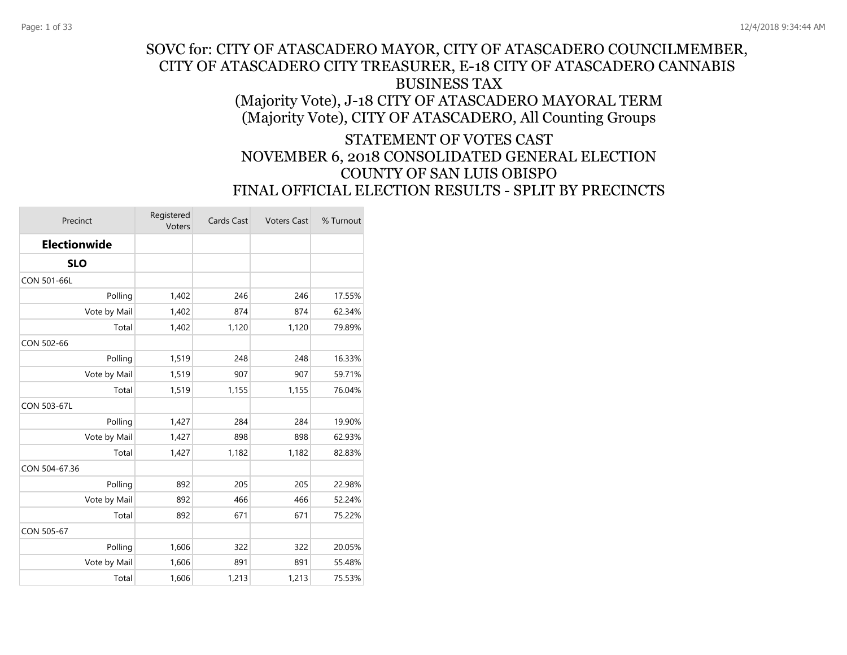#### SOVC for: CITY OF ATASCADERO MAYOR, CITY OF ATASCADERO COUNCILMEMBER, CITY OF ATASCADERO CITY TREASURER, E-18 CITY OF ATASCADERO CANNABIS BUSINESS TAX (Majority Vote), J-18 CITY OF ATASCADERO MAYORAL TERM (Majority Vote), CITY OF ATASCADERO, All Counting Groups

#### STATEMENT OF VOTES CAST NOVEMBER 6, 2018 CONSOLIDATED GENERAL ELECTION COUNTY OF SAN LUIS OBISPO FINAL OFFICIAL ELECTION RESULTS - SPLIT BY PRECINCTS

| Precinct            | Registered<br>Voters | Cards Cast | <b>Voters Cast</b> | % Turnout |
|---------------------|----------------------|------------|--------------------|-----------|
| <b>Electionwide</b> |                      |            |                    |           |
| <b>SLO</b>          |                      |            |                    |           |
| CON 501-66L         |                      |            |                    |           |
| Polling             | 1,402                | 246        | 246                | 17.55%    |
| Vote by Mail        | 1,402                | 874        | 874                | 62.34%    |
| Total               | 1,402                | 1,120      | 1,120              | 79.89%    |
| CON 502-66          |                      |            |                    |           |
| Polling             | 1,519                | 248        | 248                | 16.33%    |
| Vote by Mail        | 1,519                | 907        | 907                | 59.71%    |
| Total               | 1,519                | 1,155      | 1,155              | 76.04%    |
| CON 503-67L         |                      |            |                    |           |
| Polling             | 1,427                | 284        | 284                | 19.90%    |
| Vote by Mail        | 1,427                | 898        | 898                | 62.93%    |
| Total               | 1,427                | 1,182      | 1,182              | 82.83%    |
| CON 504-67.36       |                      |            |                    |           |
| Polling             | 892                  | 205        | 205                | 22.98%    |
| Vote by Mail        | 892                  | 466        | 466                | 52.24%    |
| Total               | 892                  | 671        | 671                | 75.22%    |
| CON 505-67          |                      |            |                    |           |
| Polling             | 1,606                | 322        | 322                | 20.05%    |
| Vote by Mail        | 1,606                | 891        | 891                | 55.48%    |
| Total               | 1,606                | 1,213      | 1,213              | 75.53%    |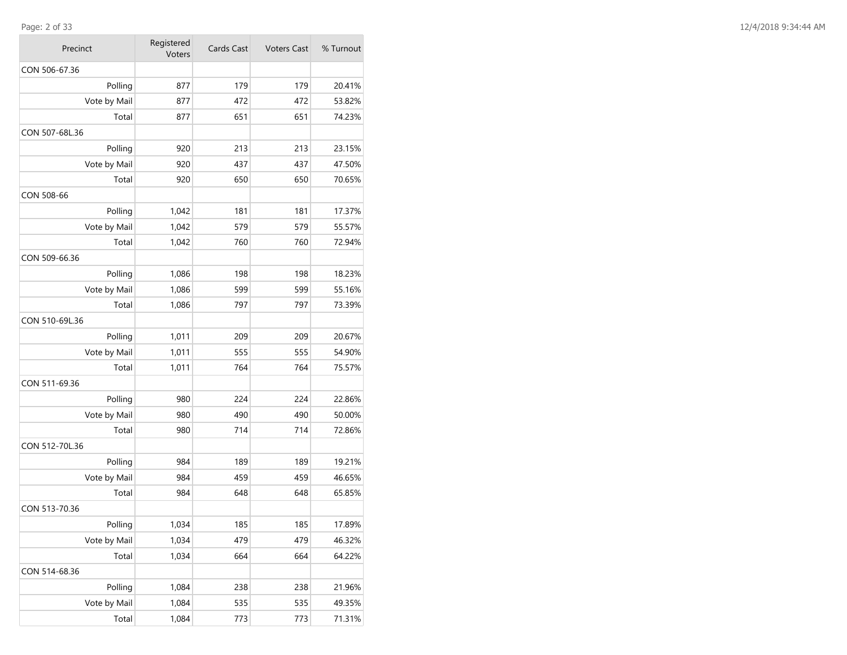| Precinct       | Registered<br>Voters | Cards Cast | <b>Voters Cast</b> | % Turnout |
|----------------|----------------------|------------|--------------------|-----------|
| CON 506-67.36  |                      |            |                    |           |
| Polling        | 877                  | 179        | 179                | 20.41%    |
| Vote by Mail   | 877                  | 472        | 472                | 53.82%    |
| Total          | 877                  | 651        | 651                | 74.23%    |
| CON 507-68L.36 |                      |            |                    |           |
| Polling        | 920                  | 213        | 213                | 23.15%    |
| Vote by Mail   | 920                  | 437        | 437                | 47.50%    |
| Total          | 920                  | 650        | 650                | 70.65%    |
| CON 508-66     |                      |            |                    |           |
| Polling        | 1,042                | 181        | 181                | 17.37%    |
| Vote by Mail   | 1,042                | 579        | 579                | 55.57%    |
| Total          | 1,042                | 760        | 760                | 72.94%    |
| CON 509-66.36  |                      |            |                    |           |
| Polling        | 1,086                | 198        | 198                | 18.23%    |
| Vote by Mail   | 1,086                | 599        | 599                | 55.16%    |
| Total          | 1,086                | 797        | 797                | 73.39%    |
| CON 510-69L.36 |                      |            |                    |           |
| Polling        | 1,011                | 209        | 209                | 20.67%    |
| Vote by Mail   | 1,011                | 555        | 555                | 54.90%    |
| Total          | 1,011                | 764        | 764                | 75.57%    |
| CON 511-69.36  |                      |            |                    |           |
| Polling        | 980                  | 224        | 224                | 22.86%    |
| Vote by Mail   | 980                  | 490        | 490                | 50.00%    |
| Total          | 980                  | 714        | 714                | 72.86%    |
| CON 512-70L.36 |                      |            |                    |           |
| Polling        | 984                  | 189        | 189                | 19.21%    |
| Vote by Mail   | 984                  | 459        | 459                | 46.65%    |
| Total          | 984                  | 648        | 648                | 65.85%    |
| CON 513-70.36  |                      |            |                    |           |
| Polling        | 1,034                | 185        | 185                | 17.89%    |
| Vote by Mail   | 1,034                | 479        | 479                | 46.32%    |
| Total          | 1,034                | 664        | 664                | 64.22%    |
| CON 514-68.36  |                      |            |                    |           |
| Polling        | 1,084                | 238        | 238                | 21.96%    |
| Vote by Mail   | 1,084                | 535        | 535                | 49.35%    |
| Total          | 1,084                | 773        | 773                | 71.31%    |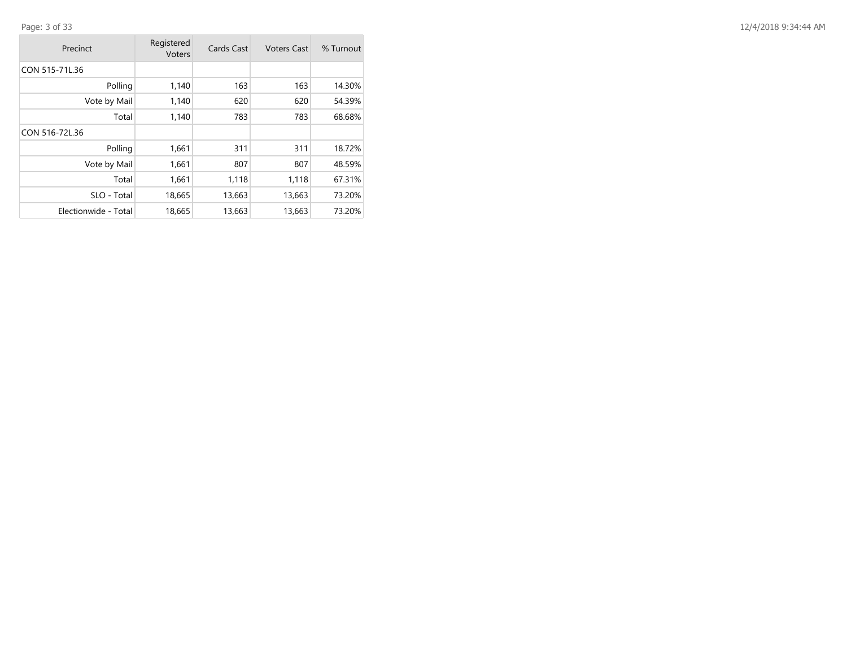| Precinct             | Registered<br>Voters | Cards Cast | <b>Voters Cast</b> | % Turnout |
|----------------------|----------------------|------------|--------------------|-----------|
| CON 515-71L.36       |                      |            |                    |           |
| Polling              | 1,140                | 163        | 163                | 14.30%    |
| Vote by Mail         | 1,140                | 620        | 620                | 54.39%    |
| Total                | 1,140                | 783        | 783                | 68.68%    |
| CON 516-72L.36       |                      |            |                    |           |
| Polling              | 1,661                | 311        | 311                | 18.72%    |
| Vote by Mail         | 1,661                | 807        | 807                | 48.59%    |
| Total                | 1,661                | 1,118      | 1,118              | 67.31%    |
| SLO - Total          | 18,665               | 13,663     | 13,663             | 73.20%    |
| Electionwide - Total | 18,665               | 13,663     | 13,663             | 73.20%    |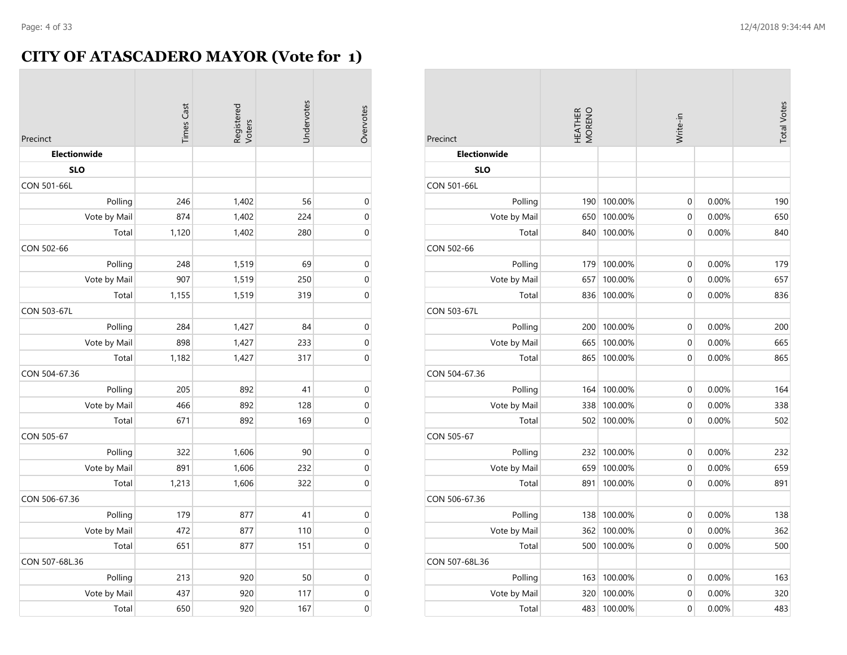$\sim$ 

# **CITY OF ATASCADERO MAYOR (Vote for 1)**

| Precinct       | <b>Times Cast</b> | Registered<br>Voters | Undervotes | Overvotes        |
|----------------|-------------------|----------------------|------------|------------------|
| Electionwide   |                   |                      |            |                  |
| <b>SLO</b>     |                   |                      |            |                  |
| CON 501-66L    |                   |                      |            |                  |
| Polling        | 246               | 1,402                | 56         | $\mathbf 0$      |
| Vote by Mail   | 874               | 1,402                | 224        | $\boldsymbol{0}$ |
| Total          | 1,120             | 1,402                | 280        | $\mathbf 0$      |
| CON 502-66     |                   |                      |            |                  |
| Polling        | 248               | 1,519                | 69         | $\mathbf 0$      |
| Vote by Mail   | 907               | 1,519                | 250        | $\mathbf 0$      |
| Total          | 1,155             | 1,519                | 319        | $\boldsymbol{0}$ |
| CON 503-67L    |                   |                      |            |                  |
| Polling        | 284               | 1,427                | 84         | $\mathbf 0$      |
| Vote by Mail   | 898               | 1,427                | 233        | $\mathbf 0$      |
| Total          | 1,182             | 1,427                | 317        | 0                |
| CON 504-67.36  |                   |                      |            |                  |
| Polling        | 205               | 892                  | 41         | $\pmb{0}$        |
| Vote by Mail   | 466               | 892                  | 128        | $\boldsymbol{0}$ |
| Total          | 671               | 892                  | 169        | $\mathbf 0$      |
| CON 505-67     |                   |                      |            |                  |
| Polling        | 322               | 1,606                | 90         | $\mathbf 0$      |
| Vote by Mail   | 891               | 1,606                | 232        | $\boldsymbol{0}$ |
| Total          | 1,213             | 1,606                | 322        | $\mathbf 0$      |
| CON 506-67.36  |                   |                      |            |                  |
| Polling        | 179               | 877                  | 41         | $\pmb{0}$        |
| Vote by Mail   | 472               | 877                  | 110        | $\mathbf 0$      |
| Total          | 651               | 877                  | 151        | $\mathbf 0$      |
| CON 507-68L.36 |                   |                      |            |                  |
| Polling        | 213               | 920                  | 50         | $\boldsymbol{0}$ |
| Vote by Mail   | 437               | 920                  | 117        | $\mathbf 0$      |
| Total          | 650               | 920                  | 167        | $\mathbf 0$      |

| Precinct            | HEATHER<br>MORENO |         | Write-in       |       | <b>Total Votes</b> |
|---------------------|-------------------|---------|----------------|-------|--------------------|
| <b>Electionwide</b> |                   |         |                |       |                    |
| <b>SLO</b>          |                   |         |                |       |                    |
| <b>CON 501-66L</b>  |                   |         |                |       |                    |
| Polling             | 190               | 100.00% | 0              | 0.00% | 190                |
| Vote by Mail        | 650               | 100.00% | $\mathbf 0$    | 0.00% | 650                |
| Total               | 840               | 100.00% | $\overline{0}$ | 0.00% | 840                |
| CON 502-66          |                   |         |                |       |                    |
| Polling             | 179               | 100.00% | 0              | 0.00% | 179                |
| Vote by Mail        | 657               | 100.00% | $\mathbf 0$    | 0.00% | 657                |
| Total               | 836               | 100.00% | $\mathbf 0$    | 0.00% | 836                |
| <b>CON 503-67L</b>  |                   |         |                |       |                    |
| Polling             | 200               | 100.00% | 0              | 0.00% | 200                |
| Vote by Mail        | 665               | 100.00% | 0              | 0.00% | 665                |
| Total               | 865               | 100.00% | $\overline{0}$ | 0.00% | 865                |
| CON 504-67.36       |                   |         |                |       |                    |
| Polling             | 164               | 100.00% | 0              | 0.00% | 164                |
| Vote by Mail        | 338               | 100.00% | $\mathbf 0$    | 0.00% | 338                |
| Total               | 502               | 100.00% | $\overline{0}$ | 0.00% | 502                |
| CON 505-67          |                   |         |                |       |                    |
| Polling             | 232               | 100.00% | 0              | 0.00% | 232                |
| Vote by Mail        | 659               | 100.00% | $\mathbf 0$    | 0.00% | 659                |
| Total               | 891               | 100.00% | $\mathbf 0$    | 0.00% | 891                |
| CON 506-67.36       |                   |         |                |       |                    |
| Polling             | 138               | 100.00% | 0              | 0.00% | 138                |
| Vote by Mail        | 362               | 100.00% | 0              | 0.00% | 362                |
| Total               | 500               | 100.00% | $\mathbf 0$    | 0.00% | 500                |
| CON 507-68L.36      |                   |         |                |       |                    |
| Polling             | 163               | 100.00% | 0              | 0.00% | 163                |
| Vote by Mail        | 320               | 100.00% | $\mathbf 0$    | 0.00% | 320                |
| Total               | 483               | 100.00% | $\mathbf 0$    | 0.00% | 483                |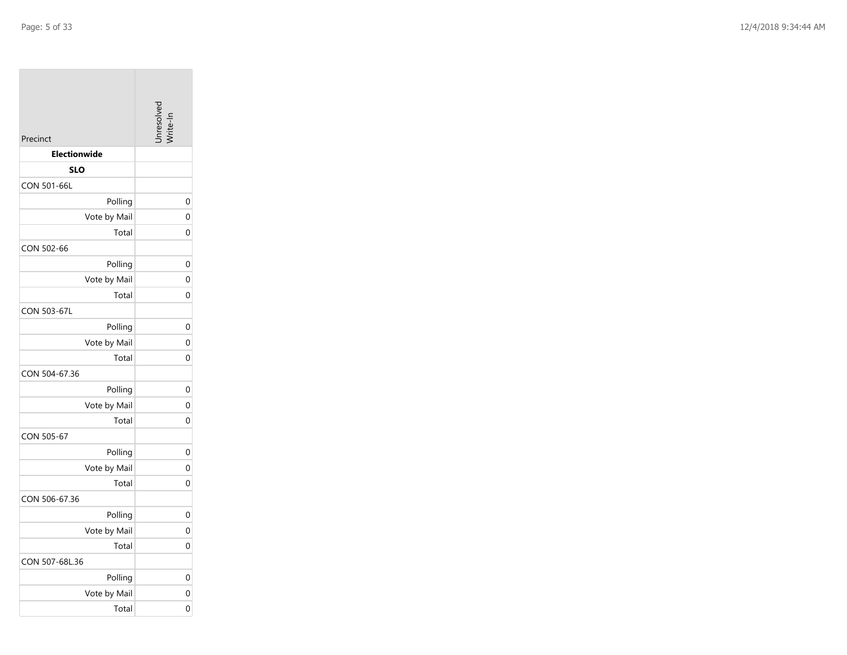| Precinct            | inresolv-      |
|---------------------|----------------|
| <b>Electionwide</b> |                |
| <b>SLO</b>          |                |
| CON 501-66L         |                |
| Polling             | 0              |
| Vote by Mail        | 0              |
| Total               | 0              |
| CON 502-66          |                |
| Polling             | 0              |
| Vote by Mail        | $\overline{0}$ |
| Total               | 0              |
| CON 503-67L         |                |
| Polling             | 0              |
| Vote by Mail        | 0              |
| Total               | 0              |
| CON 504-67.36       |                |
| Polling             | 0              |
| Vote by Mail        | 0              |
| Total               | $\Omega$       |
| CON 505-67          |                |
| Polling             | 0              |
| Vote by Mail        | 0              |
| Total               | 0              |
| CON 506-67.36       |                |
| Polling             | 0              |
| Vote by Mail        | 0              |
| Total               | 0              |
| CON 507-68L.36      |                |
| Polling             | 0              |
| Vote by Mail        | 0              |
| Total               | 0              |

the property of the

 $\sim$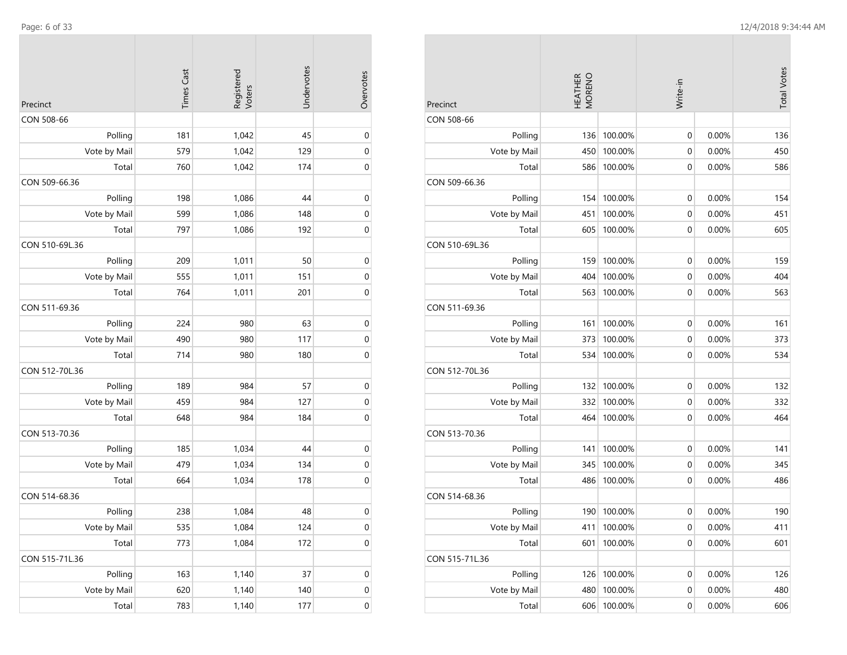$\mathcal{L}^{\text{max}}$ 

|                | <b>Times Cast</b> | Registered<br>Voters | Undervotes | Overvotes        |
|----------------|-------------------|----------------------|------------|------------------|
| Precinct       |                   |                      |            |                  |
| CON 508-66     |                   |                      |            |                  |
| Polling        | 181               | 1,042                | 45         | $\mathbf 0$      |
| Vote by Mail   | 579               | 1,042                | 129        | $\mathbf 0$      |
| Total          | 760               | 1,042                | 174        | $\mathbf 0$      |
| CON 509-66.36  |                   |                      |            |                  |
| Polling        | 198               | 1,086                | 44         | $\mathbf 0$      |
| Vote by Mail   | 599               | 1,086                | 148        | $\mathbf 0$      |
| Total          | 797               | 1,086                | 192        | 0                |
| CON 510-69L.36 |                   |                      |            |                  |
| Polling        | 209               | 1,011                | 50         | $\boldsymbol{0}$ |
| Vote by Mail   | 555               | 1,011                | 151        | $\boldsymbol{0}$ |
| Total          | 764               | 1,011                | 201        | $\boldsymbol{0}$ |
| CON 511-69.36  |                   |                      |            |                  |
| Polling        | 224               | 980                  | 63         | $\boldsymbol{0}$ |
| Vote by Mail   | 490               | 980                  | 117        | 0                |
| Total          | 714               | 980                  | 180        | $\mathbf 0$      |
| CON 512-70L.36 |                   |                      |            |                  |
| Polling        | 189               | 984                  | 57         | $\boldsymbol{0}$ |
| Vote by Mail   | 459               | 984                  | 127        | $\mathbf 0$      |
| Total          | 648               | 984                  | 184        | $\mathbf 0$      |
| CON 513-70.36  |                   |                      |            |                  |
| Polling        | 185               | 1,034                | 44         | $\mathbf 0$      |
| Vote by Mail   | 479               | 1,034                | 134        | $\mathbf 0$      |
| Total          | 664               | 1,034                | 178        | 0                |
| CON 514-68.36  |                   |                      |            |                  |
| Polling        | 238               | 1,084                | 48         | $\boldsymbol{0}$ |
| Vote by Mail   | 535               | 1,084                | 124        | $\pmb{0}$        |
| Total          | 773               | 1,084                | 172        | $\boldsymbol{0}$ |
| CON 515-71L.36 |                   |                      |            |                  |
| Polling        | 163               | 1,140                | 37         | $\pmb{0}$        |
| Vote by Mail   | 620               | 1,140                | 140        | 0                |
| Total          | 783               | 1,140                | 177        | $\boldsymbol{0}$ |
|                |                   |                      |            |                  |

 $\sim$ 

 $\sim$ 

|                | HEATHER<br>MORENO |         |                  |          | <b>Total Votes</b> |
|----------------|-------------------|---------|------------------|----------|--------------------|
| Precinct       |                   |         | Write-in         |          |                    |
| CON 508-66     |                   |         |                  |          |                    |
| Polling        | 136               | 100.00% | 0                | 0.00%    | 136                |
| Vote by Mail   | 450               | 100.00% | 0                | 0.00%    | 450                |
| Total          | 586               | 100.00% | 0                | 0.00%    | 586                |
| CON 509-66.36  |                   |         |                  |          |                    |
| Polling        | 154               | 100.00% | 0                | 0.00%    | 154                |
| Vote by Mail   | 451               | 100.00% | 0                | 0.00%    | 451                |
| Total          | 605               | 100.00% | 0                | 0.00%    | 605                |
| CON 510-69L.36 |                   |         |                  |          |                    |
| Polling        | 159               | 100.00% | 0                | 0.00%    | 159                |
| Vote by Mail   | 404               | 100.00% | 0                | 0.00%    | 404                |
| Total          | 563               | 100.00% | 0                | 0.00%    | 563                |
| CON 511-69.36  |                   |         |                  |          |                    |
| Polling        | 161               | 100.00% | 0                | 0.00%    | 161                |
| Vote by Mail   | 373               | 100.00% | 0                | 0.00%    | 373                |
| Total          | 534               | 100.00% | 0                | 0.00%    | 534                |
| CON 512-70L.36 |                   |         |                  |          |                    |
| Polling        | 132               | 100.00% | 0                | 0.00%    | 132                |
| Vote by Mail   | 332               | 100.00% | 0                | 0.00%    | 332                |
| Total          | 464               | 100.00% | 0                | 0.00%    | 464                |
| CON 513-70.36  |                   |         |                  |          |                    |
| Polling        | 141               | 100.00% | 0                | 0.00%    | 141                |
| Vote by Mail   | 345               | 100.00% | 0                | 0.00%    | 345                |
| Total          | 486               | 100.00% | 0                | $0.00\%$ | 486                |
| CON 514-68.36  |                   |         |                  |          |                    |
| Polling        | 190               | 100.00% | $\mathbf 0$      | 0.00%    | 190                |
| Vote by Mail   | 411               | 100.00% | 0                | 0.00%    | 411                |
| Total          | 601               | 100.00% | $\mathbf 0$      | 0.00%    | 601                |
| CON 515-71L.36 |                   |         |                  |          |                    |
| Polling        | 126               | 100.00% | $\boldsymbol{0}$ | 0.00%    | 126                |
| Vote by Mail   | 480               | 100.00% | 0                | 0.00%    | 480                |
| Total          | 606               | 100.00% | $\boldsymbol{0}$ | 0.00%    | 606                |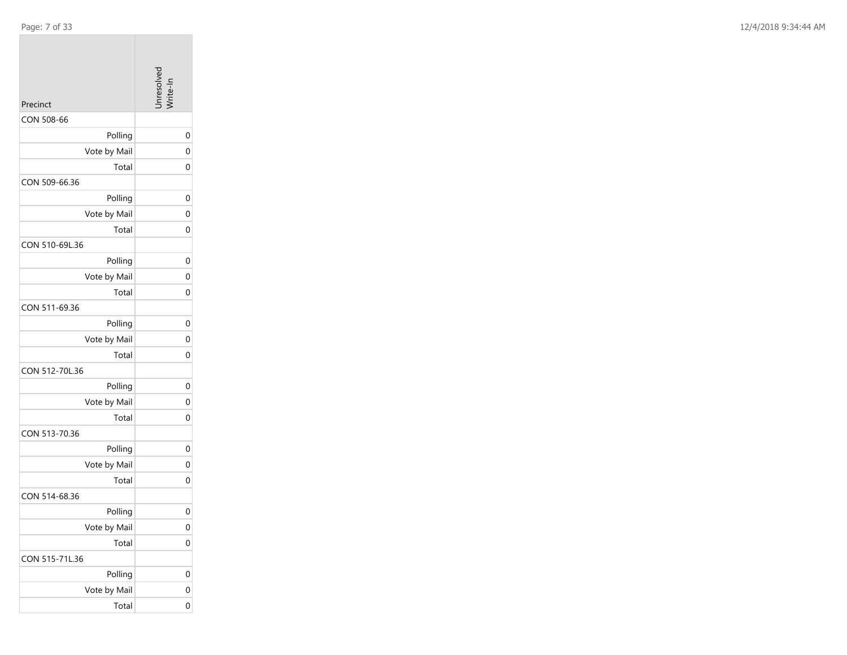|  | Page |  |  | ١ |
|--|------|--|--|---|
|--|------|--|--|---|

| Precinct       | Inresolved     |
|----------------|----------------|
| CON 508-66     |                |
| Polling        | 0              |
| Vote by Mail   | $\overline{0}$ |
| Total          | 0              |
| CON 509-66.36  |                |
| Polling        | 0              |
| Vote by Mail   | 0              |
| Total          | 0              |
| CON 510-69L.36 |                |
| Polling        | 0              |
| Vote by Mail   | $\overline{0}$ |
| Total          | 0              |
| CON 511-69.36  |                |
| Polling        | 0              |
| Vote by Mail   | $\mathbf 0$    |
| Total          | 0              |
| CON 512-70L.36 |                |
| Polling        | 0              |
| Vote by Mail   | 0              |
| Total          | $\overline{0}$ |
| CON 513-70.36  |                |
| Polling        | 0              |
| Vote by Mail   | 0              |
| Total          | 0              |
| CON 514-68.36  |                |
| Polling        | 0              |
| Vote by Mail   | $\mathbf{0}$   |
| Total          | 0              |
| CON 515-71L.36 |                |
| Polling        | 0              |
| Vote by Mail   | $\mathbf 0$    |
| Total          | $\mathbf 0$    |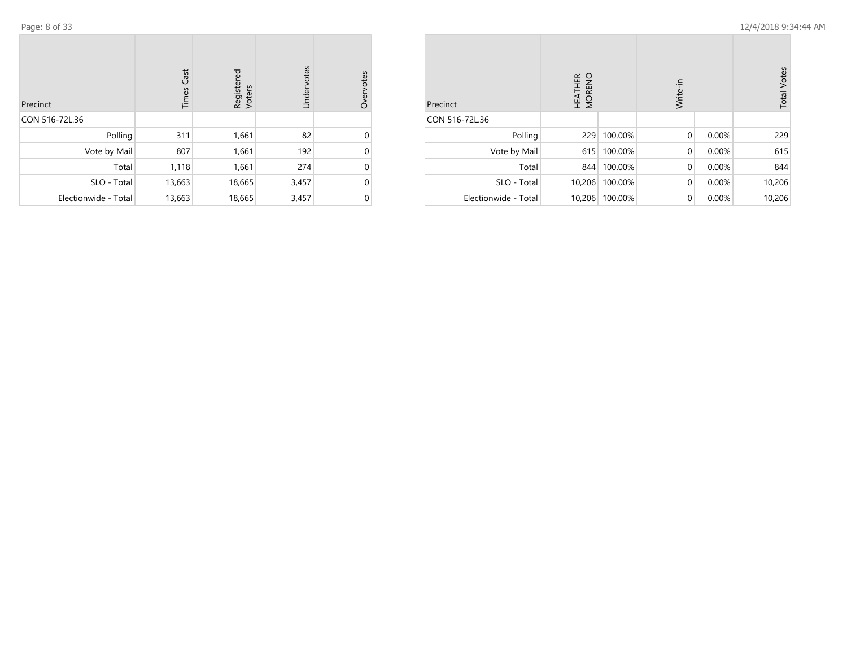| Precinct             | <b>Times Cast</b> | Registered<br>Voters | Undervotes | Overvotes |
|----------------------|-------------------|----------------------|------------|-----------|
| CON 516-72L.36       |                   |                      |            |           |
| Polling              | 311               | 1,661                | 82         | U         |
| Vote by Mail         | 807               | 1,661                | 192        | 0         |
| Total                | 1,118             | 1,661                | 274        | 0         |
| SLO - Total          | 13,663            | 18,665               | 3,457      | 0         |
| Electionwide - Total | 13,663            | 18,665               | 3,457      | 0         |

| Precinct             | HEATHER<br>MORENO |         | Write-in    |       | <b>Total Votes</b> |
|----------------------|-------------------|---------|-------------|-------|--------------------|
| CON 516-72L.36       |                   |         |             |       |                    |
| Polling              | 229               | 100.00% | $\mathbf 0$ | 0.00% | 229                |
| Vote by Mail         | 615               | 100.00% | $\mathbf 0$ | 0.00% | 615                |
| Total                | 844               | 100.00% | $\mathbf 0$ | 0.00% | 844                |
| SLO - Total          | 10,206            | 100.00% | $\mathbf 0$ | 0.00% | 10,206             |
| Electionwide - Total | 10,206            | 100.00% | $\mathbf 0$ | 0.00% | 10,206             |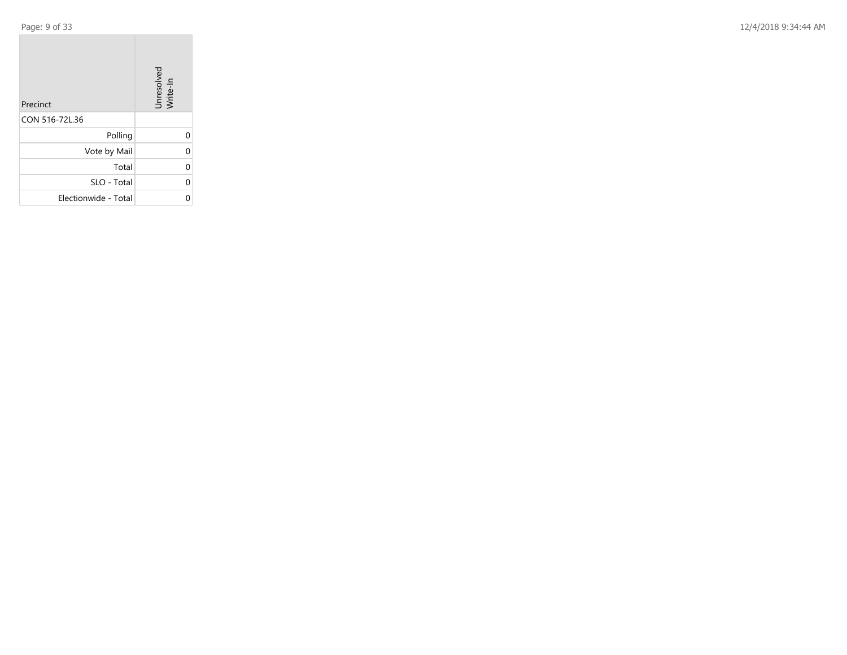Page: 9 of 33

12/4/2018 9:34:44 AM

| Precinct             | Unresolved<br>Write-In |
|----------------------|------------------------|
| CON 516-72L.36       |                        |
| Polling              |                        |
| Vote by Mail         | U                      |
| Total                |                        |
| SLO - Total          | U                      |
| Electionwide - Total |                        |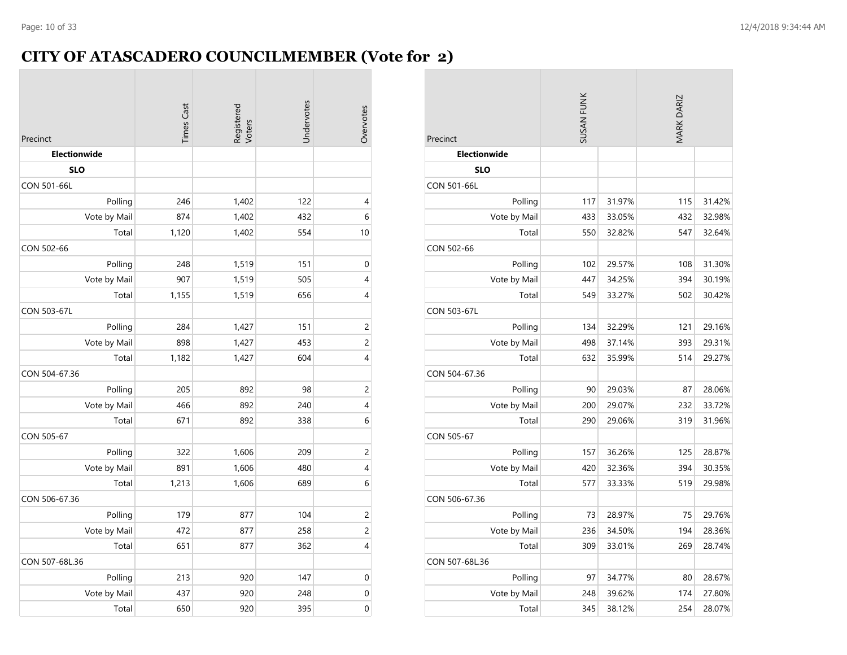### **CITY OF ATASCADERO COUNCILMEMBER (Vote for 2)**

|                           | <b>Times Cast</b> | Registered<br>Voters | Undervotes | Overvotes                |
|---------------------------|-------------------|----------------------|------------|--------------------------|
| Precinct                  |                   |                      |            |                          |
| Electionwide              |                   |                      |            |                          |
| <b>SLO</b><br>CON 501-66L |                   |                      |            |                          |
|                           | 246               | 1,402                | 122        | $\overline{\mathcal{A}}$ |
| Polling                   | 874               |                      | 432        | 6                        |
| Vote by Mail              |                   | 1,402                |            |                          |
| Total                     | 1,120             | 1,402                | 554        | 10                       |
| CON 502-66                |                   |                      |            |                          |
| Polling                   | 248               | 1,519                | 151        | $\mathbf 0$              |
| Vote by Mail              | 907               | 1,519                | 505        | 4                        |
| Total                     | 1,155             | 1,519                | 656        | 4                        |
| CON 503-67L               |                   |                      |            |                          |
| Polling                   | 284               | 1,427                | 151        | $\overline{c}$           |
| Vote by Mail              | 898               | 1,427                | 453        | $\overline{c}$           |
| Total                     | 1,182             | 1,427                | 604        | 4                        |
| CON 504-67.36             |                   |                      |            |                          |
| Polling                   | 205               | 892                  | 98         | $\overline{c}$           |
| Vote by Mail              | 466               | 892                  | 240        | 4                        |
| Total                     | 671               | 892                  | 338        | 6                        |
| CON 505-67                |                   |                      |            |                          |
| Polling                   | 322               | 1,606                | 209        | $\overline{c}$           |
| Vote by Mail              | 891               | 1,606                | 480        | $\overline{\mathcal{A}}$ |
| Total                     | 1,213             | 1,606                | 689        | $\overline{6}$           |
| CON 506-67.36             |                   |                      |            |                          |
| Polling                   | 179               | 877                  | 104        | $\overline{c}$           |
| Vote by Mail              | 472               | 877                  | 258        | $\overline{c}$           |
| Total                     | 651               | 877                  | 362        | 4                        |
| CON 507-68L.36            |                   |                      |            |                          |
| Polling                   | 213               | 920                  | 147        | $\mathbf 0$              |
| Vote by Mail              | 437               | 920                  | 248        | $\mathbf 0$              |
| Total                     | 650               | 920                  | 395        | $\mathbf 0$              |

| Precinct            | SUSAN FUNK |        | MARK DARIZ |        |
|---------------------|------------|--------|------------|--------|
| <b>Electionwide</b> |            |        |            |        |
| <b>SLO</b>          |            |        |            |        |
| <b>CON 501-66L</b>  |            |        |            |        |
| Polling             | 117        | 31.97% | 115        | 31.42% |
| Vote by Mail        | 433        | 33.05% | 432        | 32.98% |
| Total               | 550        | 32.82% | 547        | 32.64% |
| CON 502-66          |            |        |            |        |
| Polling             | 102        | 29.57% | 108        | 31.30% |
| Vote by Mail        | 447        | 34.25% | 394        | 30.19% |
| Total               | 549        | 33.27% | 502        | 30.42% |
| CON 503-67L         |            |        |            |        |
| Polling             | 134        | 32.29% | 121        | 29.16% |
| Vote by Mail        | 498        | 37.14% | 393        | 29.31% |
| Total               | 632        | 35.99% | 514        | 29.27% |
| CON 504-67.36       |            |        |            |        |
| Polling             | 90         | 29.03% | 87         | 28.06% |
| Vote by Mail        | 200        | 29.07% | 232        | 33.72% |
| Total               | 290        | 29.06% | 319        | 31.96% |
| CON 505-67          |            |        |            |        |
| Polling             | 157        | 36.26% | 125        | 28.87% |
| Vote by Mail        | 420        | 32.36% | 394        | 30.35% |
| Total               | 577        | 33.33% | 519        | 29.98% |
| CON 506-67.36       |            |        |            |        |
| Polling             | 73         | 28.97% | 75         | 29.76% |
| Vote by Mail        | 236        | 34.50% | 194        | 28.36% |
| Total               | 309        | 33.01% | 269        | 28.74% |
| CON 507-68L.36      |            |        |            |        |
| Polling             | 97         | 34.77% | 80         | 28.67% |
| Vote by Mail        | 248        | 39.62% | 174        | 27.80% |
| Total               | 345        | 38.12% | 254        | 28.07% |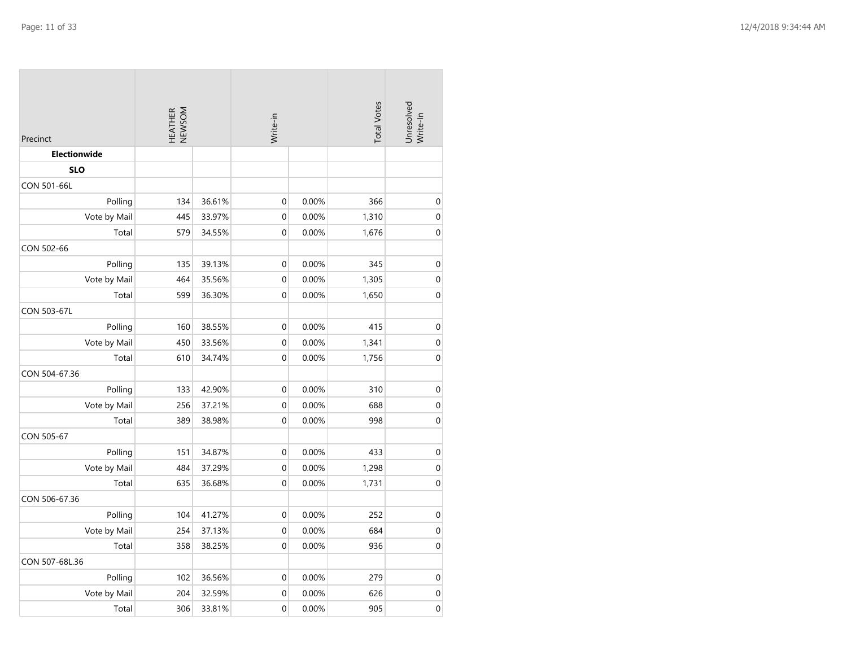| Precinct       |     |        | HEATHER<br>NEWSOM |       | Write-in |                  | <b>Total Votes</b> | Unresolved<br>Write-In |
|----------------|-----|--------|-------------------|-------|----------|------------------|--------------------|------------------------|
| Electionwide   |     |        |                   |       |          |                  |                    |                        |
| <b>SLO</b>     |     |        |                   |       |          |                  |                    |                        |
| CON 501-66L    |     |        |                   |       |          |                  |                    |                        |
| Polling        | 134 | 36.61% | 0                 | 0.00% | 366      | $\boldsymbol{0}$ |                    |                        |
| Vote by Mail   | 445 | 33.97% | $\boldsymbol{0}$  | 0.00% | 1,310    | $\mathbf 0$      |                    |                        |
| Total          | 579 | 34.55% | $\mathbf 0$       | 0.00% | 1,676    | $\boldsymbol{0}$ |                    |                        |
| CON 502-66     |     |        |                   |       |          |                  |                    |                        |
| Polling        | 135 | 39.13% | 0                 | 0.00% | 345      | $\mathbf 0$      |                    |                        |
| Vote by Mail   | 464 | 35.56% | $\mathbf 0$       | 0.00% | 1,305    | $\mathbf 0$      |                    |                        |
| Total          | 599 | 36.30% | $\mathbf 0$       | 0.00% | 1,650    | $\mathbf 0$      |                    |                        |
| CON 503-67L    |     |        |                   |       |          |                  |                    |                        |
| Polling        | 160 | 38.55% | $\mathbf 0$       | 0.00% | 415      | $\mathbf 0$      |                    |                        |
| Vote by Mail   | 450 | 33.56% | $\mathbf 0$       | 0.00% | 1,341    | $\boldsymbol{0}$ |                    |                        |
| Total          | 610 | 34.74% | $\mathbf{0}$      | 0.00% | 1,756    | $\boldsymbol{0}$ |                    |                        |
| CON 504-67.36  |     |        |                   |       |          |                  |                    |                        |
| Polling        | 133 | 42.90% | $\mathbf 0$       | 0.00% | 310      | $\pmb{0}$        |                    |                        |
| Vote by Mail   | 256 | 37.21% | $\boldsymbol{0}$  | 0.00% | 688      | $\boldsymbol{0}$ |                    |                        |
| Total          | 389 | 38.98% | $\boldsymbol{0}$  | 0.00% | 998      | $\mathbf 0$      |                    |                        |
| CON 505-67     |     |        |                   |       |          |                  |                    |                        |
| Polling        | 151 | 34.87% | $\boldsymbol{0}$  | 0.00% | 433      | $\mathbf 0$      |                    |                        |
| Vote by Mail   | 484 | 37.29% | $\boldsymbol{0}$  | 0.00% | 1,298    | $\pmb{0}$        |                    |                        |
| Total          | 635 | 36.68% | $\mathbf 0$       | 0.00% | 1,731    | $\boldsymbol{0}$ |                    |                        |
| CON 506-67.36  |     |        |                   |       |          |                  |                    |                        |
| Polling        | 104 | 41.27% | $\boldsymbol{0}$  | 0.00% | 252      | $\pmb{0}$        |                    |                        |
| Vote by Mail   | 254 | 37.13% | $\mathbf 0$       | 0.00% | 684      | $\mathbf{0}$     |                    |                        |
| Total          | 358 | 38.25% | $\mathbf 0$       | 0.00% | 936      | $\mathbf 0$      |                    |                        |
| CON 507-68L.36 |     |        |                   |       |          |                  |                    |                        |
| Polling        | 102 | 36.56% | $\mathbf 0$       | 0.00% | 279      | $\boldsymbol{0}$ |                    |                        |
| Vote by Mail   | 204 | 32.59% | 0                 | 0.00% | 626      | $\pmb{0}$        |                    |                        |
| Total          | 306 | 33.81% | $\mathbf 0$       | 0.00% | 905      | 0                |                    |                        |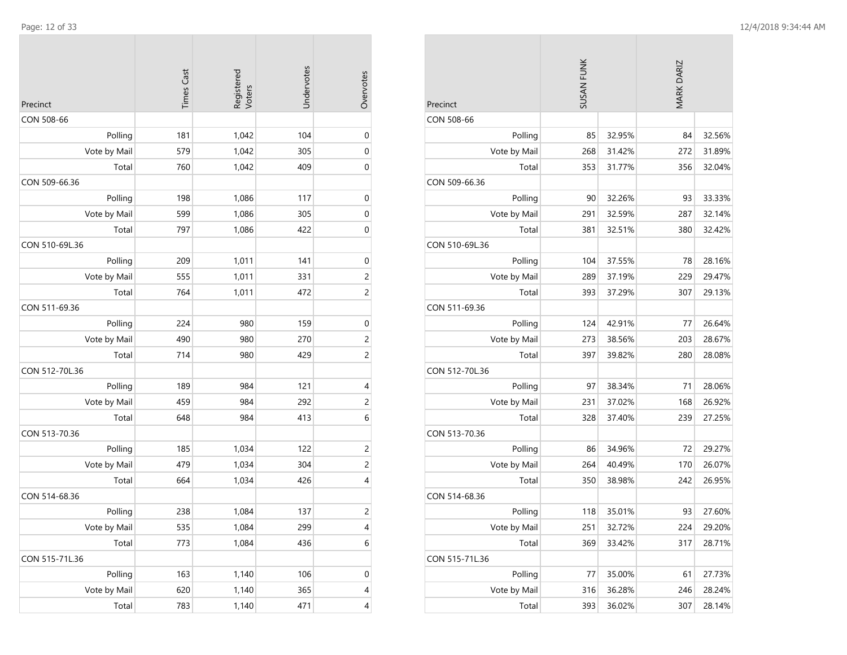| Precinct       | <b>Times Cast</b> | Registered<br>Voters | Undervotes | Overvotes                |
|----------------|-------------------|----------------------|------------|--------------------------|
| CON 508-66     |                   |                      |            |                          |
| Polling        | 181               | 1,042                | 104        | 0                        |
| Vote by Mail   | 579               | 1,042                | 305        | 0                        |
| Total          | 760               | 1,042                | 409        | 0                        |
| CON 509-66.36  |                   |                      |            |                          |
| Polling        | 198               | 1,086                | 117        | 0                        |
| Vote by Mail   | 599               | 1,086                | 305        | $\mathbf 0$              |
| Total          | 797               | 1,086                | 422        | 0                        |
| CON 510-69L.36 |                   |                      |            |                          |
| Polling        | 209               | 1,011                | 141        | $\boldsymbol{0}$         |
| Vote by Mail   | 555               | 1,011                | 331        | $\overline{c}$           |
| Total          | 764               | 1,011                | 472        | $\overline{c}$           |
| CON 511-69.36  |                   |                      |            |                          |
| Polling        | 224               | 980                  | 159        | $\mathbf 0$              |
| Vote by Mail   | 490               | 980                  | 270        | $\overline{c}$           |
| Total          | 714               | 980                  | 429        | $\overline{c}$           |
| CON 512-70L.36 |                   |                      |            |                          |
| Polling        | 189               | 984                  | 121        | 4                        |
| Vote by Mail   | 459               | 984                  | 292        | $\overline{c}$           |
| Total          | 648               | 984                  | 413        | 6                        |
| CON 513-70.36  |                   |                      |            |                          |
| Polling        | 185               | 1,034                | 122        | $\overline{c}$           |
| Vote by Mail   | 479               | 1,034                | 304        | $\overline{c}$           |
| Total          | 664               | 1,034                | 426        | 4                        |
| CON 514-68.36  |                   |                      |            |                          |
| Polling        | 238               | 1,084                | 137        | $\overline{c}$           |
| Vote by Mail   | 535               | 1,084                | 299        | $\overline{\mathcal{A}}$ |
| Total          | 773               | 1,084                | 436        | 6                        |
| CON 515-71L.36 |                   |                      |            |                          |
| Polling        | 163               | 1,140                | 106        | $\boldsymbol{0}$         |
| Vote by Mail   | 620               | 1,140                | 365        | 4                        |
| Total          | 783               | 1,140                | 471        | 4                        |

| Precinct       | SUSAN FUNK |        | MARK DARIZ |        |
|----------------|------------|--------|------------|--------|
| CON 508-66     |            |        |            |        |
| Polling        | 85         | 32.95% | 84         | 32.56% |
| Vote by Mail   | 268        | 31.42% | 272        | 31.89% |
| Total          | 353        | 31.77% | 356        | 32.04% |
| CON 509-66.36  |            |        |            |        |
| Polling        | 90         | 32.26% | 93         | 33.33% |
| Vote by Mail   | 291        | 32.59% | 287        | 32.14% |
| Total          | 381        | 32.51% | 380        | 32.42% |
| CON 510-69L.36 |            |        |            |        |
| Polling        | 104        | 37.55% | 78         | 28.16% |
| Vote by Mail   | 289        | 37.19% | 229        | 29.47% |
| Total          | 393        | 37.29% | 307        | 29.13% |
| CON 511-69.36  |            |        |            |        |
| Polling        | 124        | 42.91% | 77         | 26.64% |
| Vote by Mail   | 273        | 38.56% | 203        | 28.67% |
| Total          | 397        | 39.82% | 280        | 28.08% |
| CON 512-70L.36 |            |        |            |        |
| Polling        | 97         | 38.34% | 71         | 28.06% |
| Vote by Mail   | 231        | 37.02% | 168        | 26.92% |
| Total          | 328        | 37.40% | 239        | 27.25% |
| CON 513-70.36  |            |        |            |        |
| Polling        | 86         | 34.96% | 72         | 29.27% |
| Vote by Mail   | 264        | 40.49% | 170        | 26.07% |
| Total          | 350        | 38.98% | 242        | 26.95% |
| CON 514-68.36  |            |        |            |        |
| Polling        | 118        | 35.01% | 93         | 27.60% |
| Vote by Mail   | 251        | 32.72% | 224        | 29.20% |
| Total          | 369        | 33.42% | 317        | 28.71% |
| CON 515-71L.36 |            |        |            |        |
| Polling        | 77         | 35.00% | 61         | 27.73% |
| Vote by Mail   | 316        | 36.28% | 246        | 28.24% |
| Total          | 393        | 36.02% | 307        | 28.14% |

**COL**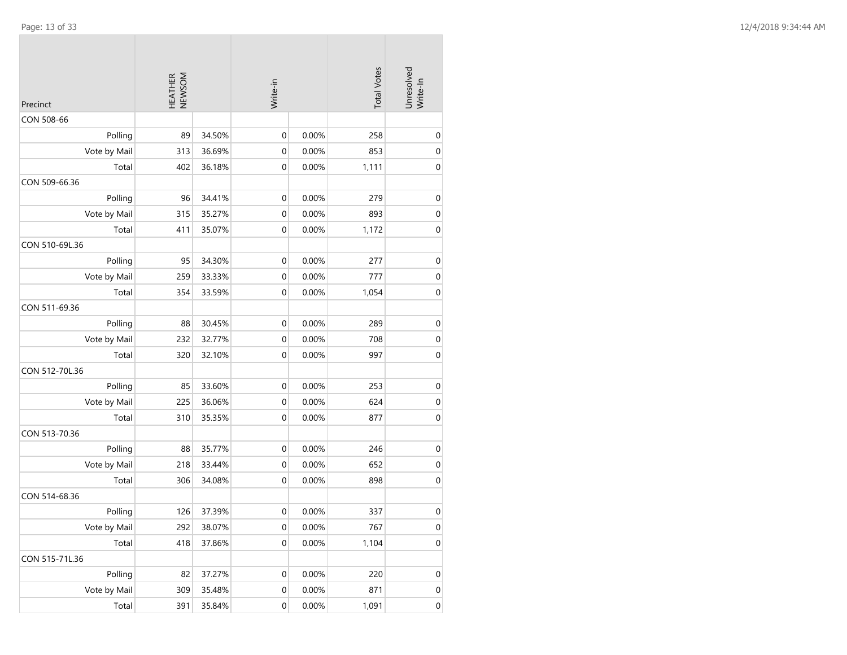| Precinct       | NEWSOM<br><b>HEATHER</b> |        | Write-in         |       | <b>Total Votes</b> | Unresolved<br>Write-In |
|----------------|--------------------------|--------|------------------|-------|--------------------|------------------------|
| CON 508-66     |                          |        |                  |       |                    |                        |
| Polling        | 89                       | 34.50% | $\mathbf 0$      | 0.00% | 258                | 0                      |
| Vote by Mail   | 313                      | 36.69% | $\mathbf 0$      | 0.00% | 853                | 0                      |
| Total          | 402                      | 36.18% | $\mathbf 0$      | 0.00% | 1,111              | 0                      |
| CON 509-66.36  |                          |        |                  |       |                    |                        |
| Polling        | 96                       | 34.41% | $\boldsymbol{0}$ | 0.00% | 279                | $\mathbf 0$            |
| Vote by Mail   | 315                      | 35.27% | $\mathbf 0$      | 0.00% | 893                | 0                      |
| Total          | 411                      | 35.07% | $\mathbf 0$      | 0.00% | 1,172              | 0                      |
| CON 510-69L.36 |                          |        |                  |       |                    |                        |
| Polling        | 95                       | 34.30% | $\boldsymbol{0}$ | 0.00% | 277                | $\mathbf 0$            |
| Vote by Mail   | 259                      | 33.33% | $\mathbf 0$      | 0.00% | 777                | 0                      |
| Total          | 354                      | 33.59% | $\mathbf 0$      | 0.00% | 1,054              | 0                      |
| CON 511-69.36  |                          |        |                  |       |                    |                        |
| Polling        | 88                       | 30.45% | 0                | 0.00% | 289                | 0                      |
| Vote by Mail   | 232                      | 32.77% | $\boldsymbol{0}$ | 0.00% | 708                | 0                      |
| Total          | 320                      | 32.10% | $\mathbf 0$      | 0.00% | 997                | 0                      |
| CON 512-70L.36 |                          |        |                  |       |                    |                        |
| Polling        | 85                       | 33.60% | $\mathbf 0$      | 0.00% | 253                | 0                      |
| Vote by Mail   | 225                      | 36.06% | $\boldsymbol{0}$ | 0.00% | 624                | $\mathbf 0$            |
| Total          | 310                      | 35.35% | $\mathbf 0$      | 0.00% | 877                | 0                      |
| CON 513-70.36  |                          |        |                  |       |                    |                        |
| Polling        | 88                       | 35.77% | $\boldsymbol{0}$ | 0.00% | 246                | 0                      |
| Vote by Mail   | 218                      | 33.44% | $\mathbf 0$      | 0.00% | 652                | 0                      |
| Total          | 306                      | 34.08% | 0                | 0.00% | 898                | $\mathbf 0$            |
| CON 514-68.36  |                          |        |                  |       |                    |                        |
| Polling        | 126                      | 37.39% | $\boldsymbol{0}$ | 0.00% | 337                | 0                      |
| Vote by Mail   | 292                      | 38.07% | $\pmb{0}$        | 0.00% | 767                | $\pmb{0}$              |
| Total          | 418                      | 37.86% | $\boldsymbol{0}$ | 0.00% | 1,104              | $\pmb{0}$              |
| CON 515-71L.36 |                          |        |                  |       |                    |                        |
| Polling        | 82                       | 37.27% | $\boldsymbol{0}$ | 0.00% | 220                | $\boldsymbol{0}$       |
| Vote by Mail   | 309                      | 35.48% | 0                | 0.00% | 871                | 0                      |
| Total          | 391                      | 35.84% | $\boldsymbol{0}$ | 0.00% | 1,091              | $\boldsymbol{0}$       |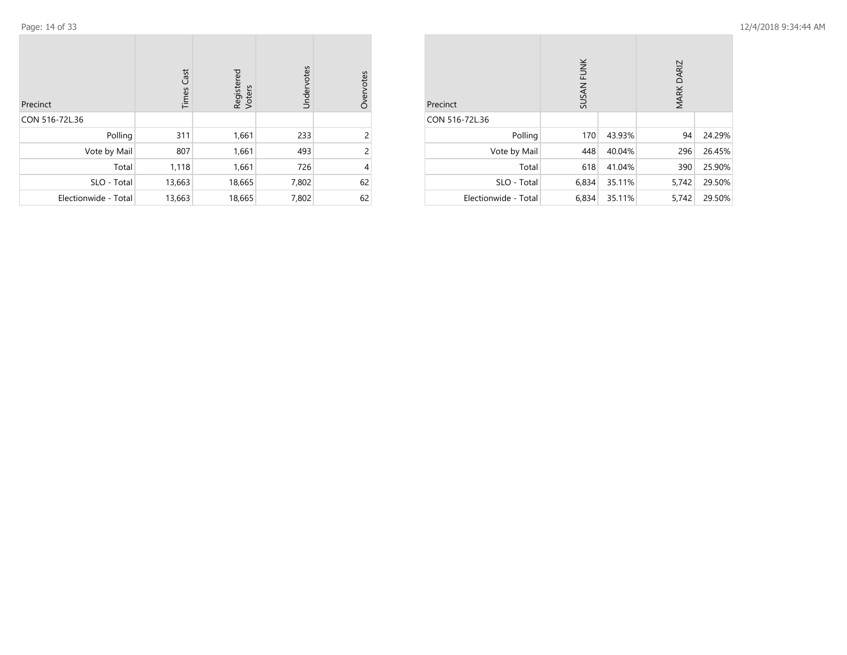| Precinct             | Cast<br>Times | Registered<br>Voters | Undervotes | Overvotes      |
|----------------------|---------------|----------------------|------------|----------------|
| CON 516-72L.36       |               |                      |            |                |
| Polling              | 311           | 1,661                | 233        | 2              |
| Vote by Mail         | 807           | 1,661                | 493        | $\overline{c}$ |
| Total                | 1,118         | 1,661                | 726        | 4              |
| SLO - Total          | 13,663        | 18,665               | 7,802      | 62             |
| Electionwide - Total | 13,663        | 18,665               | 7,802      | 62             |

| Precinct             | SUSAN FUNK |        | MARK DARIZ |        |
|----------------------|------------|--------|------------|--------|
| CON 516-72L.36       |            |        |            |        |
| Polling              | 170        | 43.93% | 94         | 24.29% |
| Vote by Mail         | 448        | 40.04% | 296        | 26.45% |
| Total                | 618        | 41.04% | 390        | 25.90% |
| SLO - Total          | 6,834      | 35.11% | 5,742      | 29.50% |
| Electionwide - Total | 6,834      | 35.11% | 5,742      | 29.50% |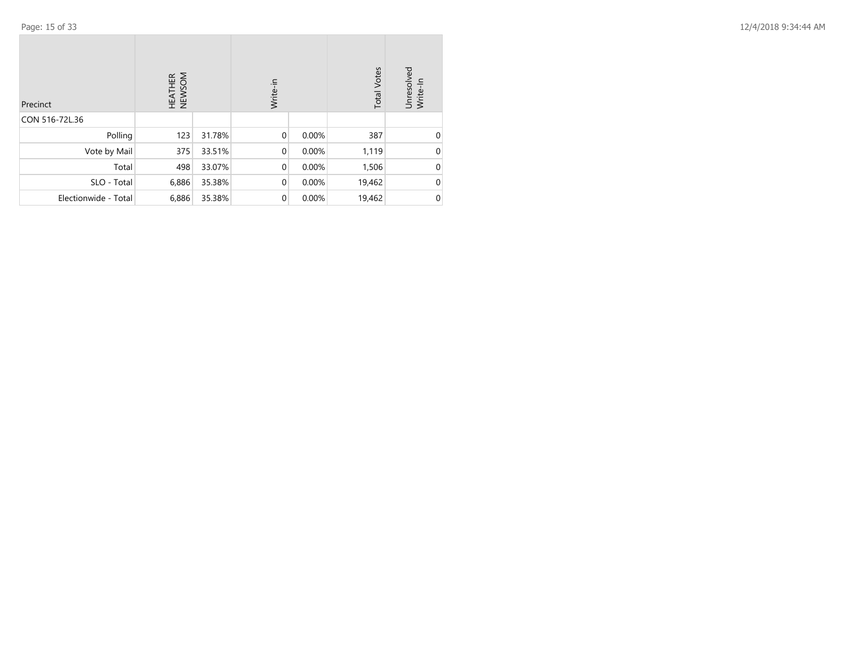| Precinct             | HEATHER<br>NEWSOM |        | Write-in    |       | <b>Total Votes</b> | Unresolved<br>Write-In |
|----------------------|-------------------|--------|-------------|-------|--------------------|------------------------|
| CON 516-72L.36       |                   |        |             |       |                    |                        |
| Polling              | 123               | 31.78% | $\mathbf 0$ | 0.00% | 387                | $\Omega$               |
| Vote by Mail         | 375               | 33.51% | $\mathbf 0$ | 0.00% | 1,119              | 0                      |
| Total                | 498               | 33.07% | $\mathbf 0$ | 0.00% | 1,506              | $\Omega$               |
| SLO - Total          | 6,886             | 35.38% | $\mathbf 0$ | 0.00% | 19,462             | 0                      |
| Electionwide - Total | 6,886             | 35.38% | $\mathbf 0$ | 0.00% | 19,462             | 0                      |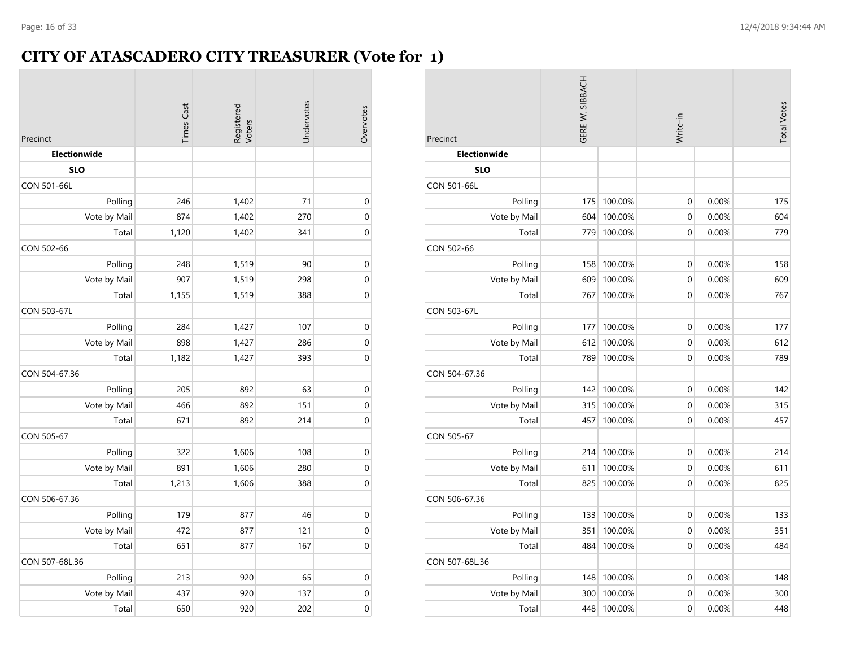### **CITY OF ATASCADERO CITY TREASURER (Vote for 1)**

| Precinct            | <b>Times Cast</b> | Registered<br>Voters | Undervotes | Overvotes        |
|---------------------|-------------------|----------------------|------------|------------------|
| <b>Electionwide</b> |                   |                      |            |                  |
| <b>SLO</b>          |                   |                      |            |                  |
| CON 501-66L         |                   |                      |            |                  |
| Polling             | 246               | 1,402                | 71         | $\boldsymbol{0}$ |
| Vote by Mail        | 874               | 1,402                | 270        | 0                |
| Total               | 1,120             | 1,402                | 341        | $\mathbf 0$      |
| CON 502-66          |                   |                      |            |                  |
| Polling             | 248               | 1,519                | 90         | $\mathbf 0$      |
| Vote by Mail        | 907               | 1,519                | 298        | $\mathbf 0$      |
| Total               | 1,155             | 1,519                | 388        | $\mathbf 0$      |
| CON 503-67L         |                   |                      |            |                  |
| Polling             | 284               | 1,427                | 107        | $\mathbf 0$      |
| Vote by Mail        | 898               | 1,427                | 286        | $\mathbf 0$      |
| Total               | 1,182             | 1,427                | 393        | 0                |
| CON 504-67.36       |                   |                      |            |                  |
| Polling             | 205               | 892                  | 63         | $\mathbf 0$      |
| Vote by Mail        | 466               | 892                  | 151        | $\mathbf 0$      |
| Total               | 671               | 892                  | 214        | $\mathbf 0$      |
| CON 505-67          |                   |                      |            |                  |
| Polling             | 322               | 1,606                | 108        | $\mathbf 0$      |
| Vote by Mail        | 891               | 1,606                | 280        | 0                |
| Total               | 1,213             | 1,606                | 388        | $\mathbf 0$      |
| CON 506-67.36       |                   |                      |            |                  |
| Polling             | 179               | 877                  | 46         | $\mathbf 0$      |
| Vote by Mail        | 472               | 877                  | 121        | $\mathbf 0$      |
| Total               | 651               | 877                  | 167        | 0                |
| CON 507-68L.36      |                   |                      |            |                  |
| Polling             | 213               | 920                  | 65         | $\mathbf 0$      |
| Vote by Mail        | 437               | 920                  | 137        | $\mathbf 0$      |
| Total               | 650               | 920                  | 202        | $\mathbf 0$      |

| Precinct           | GERE W. SIBBACH |         | Write-in    | <b>Total Votes</b> |     |
|--------------------|-----------------|---------|-------------|--------------------|-----|
| Electionwide       |                 |         |             |                    |     |
| <b>SLO</b>         |                 |         |             |                    |     |
| CON 501-66L        |                 |         |             |                    |     |
| Polling            | 175             | 100.00% | 0           | 0.00%              | 175 |
| Vote by Mail       | 604             | 100.00% | 0           | 0.00%              | 604 |
| Total              | 779             | 100.00% | 0           | 0.00%              | 779 |
| CON 502-66         |                 |         |             |                    |     |
| Polling            | 158             | 100.00% | 0           | 0.00%              | 158 |
| Vote by Mail       | 609             | 100.00% | 0           | 0.00%              | 609 |
| Total              | 767             | 100.00% | 0           | 0.00%              | 767 |
| <b>CON 503-67L</b> |                 |         |             |                    |     |
| Polling            | 177             | 100.00% | 0           | 0.00%              | 177 |
| Vote by Mail       | 612             | 100.00% | 0           | 0.00%              | 612 |
| Total              | 789             | 100.00% | 0           | 0.00%              | 789 |
| CON 504-67.36      |                 |         |             |                    |     |
| Polling            | 142             | 100.00% | 0           | 0.00%              | 142 |
| Vote by Mail       | 315             | 100.00% | $\mathbf 0$ | 0.00%              | 315 |
| Total              | 457             | 100.00% | 0           | 0.00%              | 457 |
| CON 505-67         |                 |         |             |                    |     |
| Polling            | 214             | 100.00% | 0           | 0.00%              | 214 |
| Vote by Mail       | 611             | 100.00% | 0           | 0.00%              | 611 |
| Total              | 825             | 100.00% | 0           | 0.00%              | 825 |
| CON 506-67.36      |                 |         |             |                    |     |
| Polling            | 133             | 100.00% | 0           | 0.00%              | 133 |
| Vote by Mail       | 351             | 100.00% | 0           | 0.00%              | 351 |
| Total              | 484             | 100.00% | 0           | 0.00%              | 484 |
| CON 507-68L.36     |                 |         |             |                    |     |
| Polling            | 148             | 100.00% | 0           | 0.00%              | 148 |
| Vote by Mail       | 300             | 100.00% | 0           | 0.00%              | 300 |
| Total              | 448             | 100.00% | 0           | 0.00%              | 448 |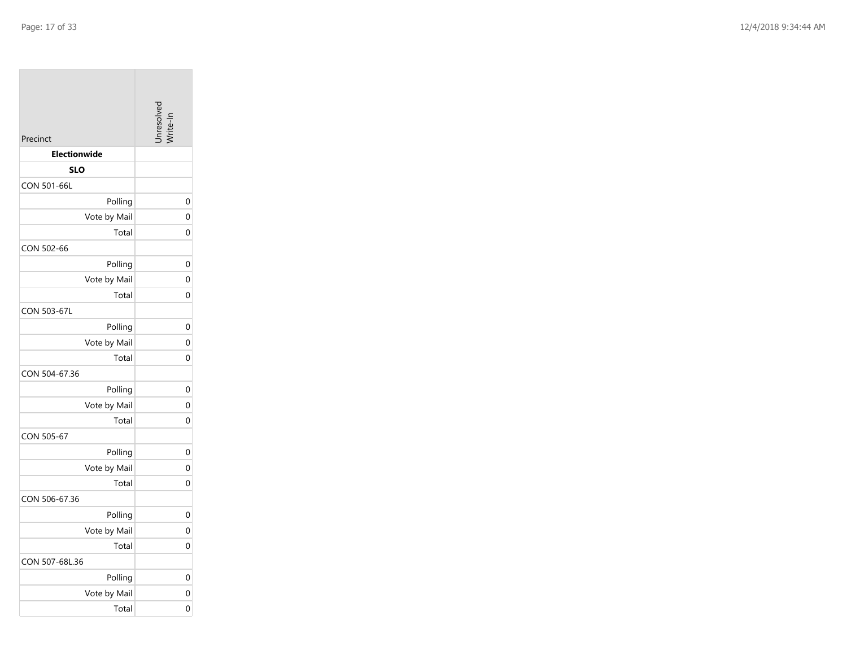|                     | nresolv     |
|---------------------|-------------|
| Precinct            |             |
| <b>Electionwide</b> |             |
| <b>SLO</b>          |             |
| CON 501-66L         |             |
| Polling             | 0           |
| Vote by Mail        | $\mathbf 0$ |
| Total               | 0           |
| CON 502-66          |             |
| Polling             | 0           |
| Vote by Mail        | 0           |
| Total               | 0           |
| <b>CON 503-67L</b>  |             |
| Polling             | 0           |
| Vote by Mail        | 0           |
| Total               | 0           |
| CON 504-67.36       |             |
| Polling             | 0           |
| Vote by Mail        | 0           |
| Total               | $\Omega$    |
| CON 505-67          |             |
| Polling             | 0           |
| Vote by Mail        | 0           |
| Total               | 0           |
| CON 506-67.36       |             |
| Polling             | 0           |
| Vote by Mail        | $\Omega$    |
| Total               | 0           |
| CON 507-68L.36      |             |
| Polling             | 0           |
| Vote by Mail        | 0           |
| Total               | 0           |

the company of the company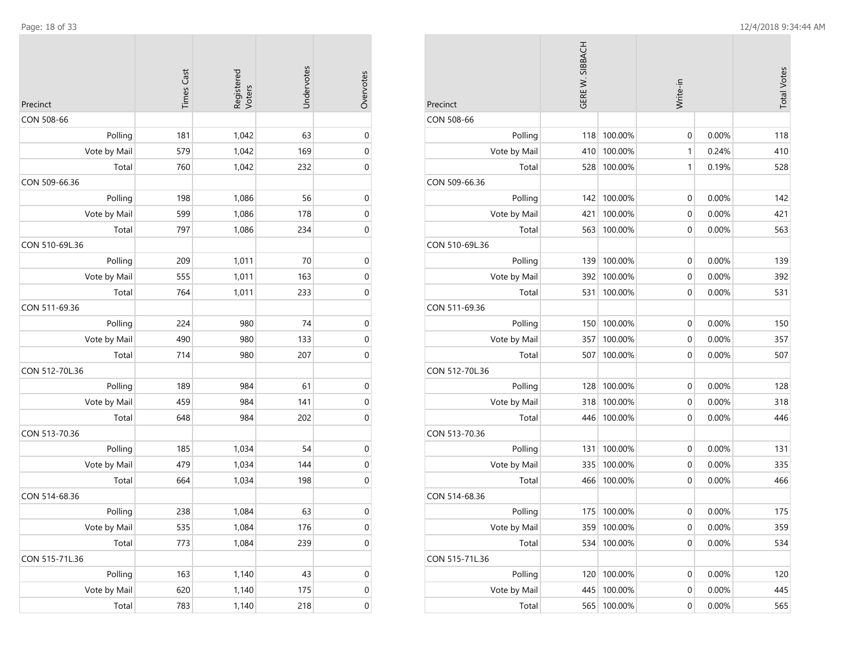| Precinct       | <b>Times Cast</b> | Registered<br>Voters | Undervotes | Overvotes        |
|----------------|-------------------|----------------------|------------|------------------|
| CON 508-66     |                   |                      |            |                  |
| Polling        | 181               | 1,042                | 63         | $\mathbf 0$      |
| Vote by Mail   | 579               | 1,042                | 169        | $\boldsymbol{0}$ |
| Total          | 760               | 1,042                | 232        | 0                |
| CON 509-66.36  |                   |                      |            |                  |
| Polling        | 198               | 1,086                | 56         | $\mathbf 0$      |
| Vote by Mail   | 599               | 1,086                | 178        | $\mathbf 0$      |
| Total          | 797               | 1,086                | 234        | 0                |
| CON 510-69L.36 |                   |                      |            |                  |
| Polling        | 209               | 1,011                | 70         | $\mathbf 0$      |
| Vote by Mail   | 555               | 1,011                | 163        | $\boldsymbol{0}$ |
| Total          | 764               | 1,011                | 233        | $\boldsymbol{0}$ |
| CON 511-69.36  |                   |                      |            |                  |
| Polling        | 224               | 980                  | 74         | $\boldsymbol{0}$ |
| Vote by Mail   | 490               | 980                  | 133        | 0                |
| Total          | 714               | 980                  | 207        | $\mathbf 0$      |
| CON 512-70L.36 |                   |                      |            |                  |
| Polling        | 189               | 984                  | 61         | $\mathbf 0$      |
| Vote by Mail   | 459               | 984                  | 141        | $\mathbf 0$      |
| Total          | 648               | 984                  | 202        | $\boldsymbol{0}$ |
| CON 513-70.36  |                   |                      |            |                  |
| Polling        | 185               | 1,034                | 54         | $\mathbf 0$      |
| Vote by Mail   | 479               | 1,034                | 144        | $\mathbf 0$      |
| Total          | 664               | 1,034                | 198        | 0                |
| CON 514-68.36  |                   |                      |            |                  |
| Polling        | 238               | 1,084                | 63         | $\boldsymbol{0}$ |
| Vote by Mail   | 535               | 1,084                | 176        | $\pmb{0}$        |
| Total          | 773               | 1,084                | 239        | $\mathbf 0$      |
| CON 515-71L.36 |                   |                      |            |                  |
| Polling        | 163               | 1,140                | 43         | $\boldsymbol{0}$ |
| Vote by Mail   | 620               | 1,140                | 175        | $\mathbf 0$      |
| Total          | 783               | 1,140                | 218        | $\boldsymbol{0}$ |
|                |                   |                      |            |                  |

| Precinct       | GERE W. SIBBACH |         | Write-in         |          | <b>Total Votes</b> |
|----------------|-----------------|---------|------------------|----------|--------------------|
| CON 508-66     |                 |         |                  |          |                    |
| Polling        | 118             | 100.00% | 0                | 0.00%    | 118                |
| Vote by Mail   | 410             | 100.00% | 1                | 0.24%    | 410                |
| Total          | 528             | 100.00% | 1                | 0.19%    | 528                |
| CON 509-66.36  |                 |         |                  |          |                    |
| Polling        | 142             | 100.00% | $\mathbf 0$      | 0.00%    | 142                |
| Vote by Mail   | 421             | 100.00% | 0                | 0.00%    | 421                |
| Total          | 563             | 100.00% | $\mathbf 0$      | 0.00%    | 563                |
| CON 510-69L.36 |                 |         |                  |          |                    |
| Polling        | 139             | 100.00% | 0                | 0.00%    | 139                |
| Vote by Mail   | 392             | 100.00% | 0                | 0.00%    | 392                |
| Total          | 531             | 100.00% | $\mathbf 0$      | 0.00%    | 531                |
| CON 511-69.36  |                 |         |                  |          |                    |
| Polling        | 150             | 100.00% | $\mathbf 0$      | 0.00%    | 150                |
| Vote by Mail   | 357             | 100.00% | $\mathbf 0$      | 0.00%    | 357                |
| Total          | 507             | 100.00% | $\mathbf 0$      | 0.00%    | 507                |
| CON 512-70L.36 |                 |         |                  |          |                    |
| Polling        | 128             | 100.00% | 0                | 0.00%    | 128                |
| Vote by Mail   | 318             | 100.00% | 0                | 0.00%    | 318                |
| Total          | 446             | 100.00% | $\mathbf 0$      | 0.00%    | 446                |
| CON 513-70.36  |                 |         |                  |          |                    |
| Polling        | 131             | 100.00% | $\mathbf 0$      | 0.00%    | 131                |
| Vote by Mail   | 335             | 100.00% | $\mathbf 0$      | 0.00%    | 335                |
| Total          | 466             | 100.00% | 0                | $0.00\%$ | 466                |
| CON 514-68.36  |                 |         |                  |          |                    |
| Polling        | 175             | 100.00% | $\mathbf 0$      | 0.00%    | 175                |
| Vote by Mail   | 359             | 100.00% | 0                | 0.00%    | 359                |
| Total          | 534             | 100.00% | $\mathbf 0$      | 0.00%    | 534                |
| CON 515-71L.36 |                 |         |                  |          |                    |
| Polling        | 120             | 100.00% | $\boldsymbol{0}$ | 0.00%    | 120                |
| Vote by Mail   | 445             | 100.00% | 0                | 0.00%    | 445                |
| Total          | 565             | 100.00% | $\pmb{0}$        | 0.00%    | 565                |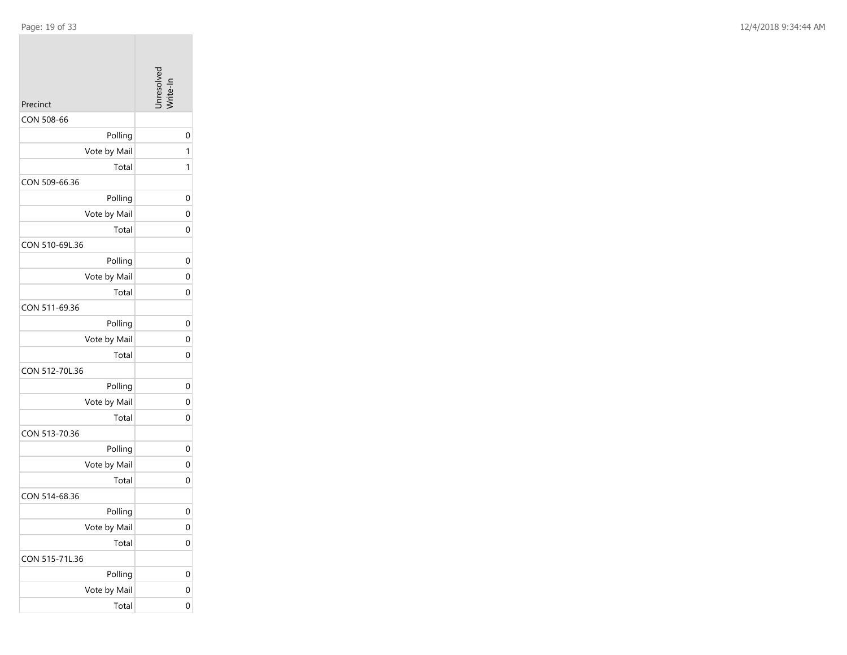| Precinct       | Jnresolver  |
|----------------|-------------|
| CON 508-66     |             |
| Polling        | 0           |
| Vote by Mail   | 1           |
| Total          | 1           |
| CON 509-66.36  |             |
| Polling        | 0           |
| Vote by Mail   | 0           |
| Total          | 0           |
| CON 510-69L.36 |             |
| Polling        | 0           |
| Vote by Mail   | 0           |
| Total          | 0           |
| CON 511-69.36  |             |
| Polling        | 0           |
| Vote by Mail   | $\mathbf 0$ |
| Total          | 0           |
| CON 512-70L.36 |             |
| Polling        | 0           |
| Vote by Mail   | 0           |
| Total          | $\mathbf 0$ |
| CON 513-70.36  |             |
| Polling        | 0           |
| Vote by Mail   | 0           |
| Total          | 0           |
| CON 514-68.36  |             |
| Polling        | 0           |
| Vote by Mail   | $\mathbf 0$ |
| Total          | 0           |
| CON 515-71L.36 |             |
| Polling        | 0           |
| Vote by Mail   | 0           |
| Total          | 0           |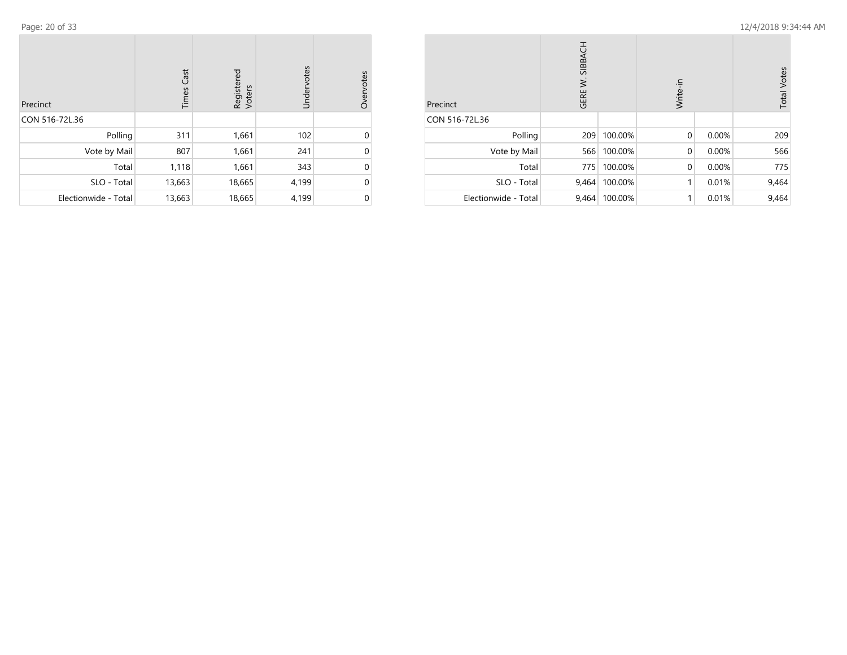| Precinct             | <b>Times Cast</b> | Registered<br>Voters | Undervotes | Overvotes |
|----------------------|-------------------|----------------------|------------|-----------|
| CON 516-72L.36       |                   |                      |            |           |
| Polling              | 311               | 1,661                | 102        | 0         |
| Vote by Mail         | 807               | 1,661                | 241        | 0         |
| Total                | 1,118             | 1,661                | 343        | $\Omega$  |
| SLO - Total          | 13,663            | 18,665               | 4,199      | 0         |
| Electionwide - Total | 13,663            | 18,665               | 4,199      | 0         |

| Precinct             | GERE W. SIBBACH |         | Write-in     |       | <b>Total Votes</b> |
|----------------------|-----------------|---------|--------------|-------|--------------------|
| CON 516-72L.36       |                 |         |              |       |                    |
| Polling              | 209             | 100.00% | $\mathbf{0}$ | 0.00% | 209                |
| Vote by Mail         | 566             | 100.00% | $\mathbf 0$  | 0.00% | 566                |
| Total                | 775             | 100.00% | $\mathbf{0}$ | 0.00% | 775                |
| SLO - Total          | 9,464           | 100.00% | 1            | 0.01% | 9,464              |
| Electionwide - Total | 9,464           | 100.00% | 1            | 0.01% | 9,464              |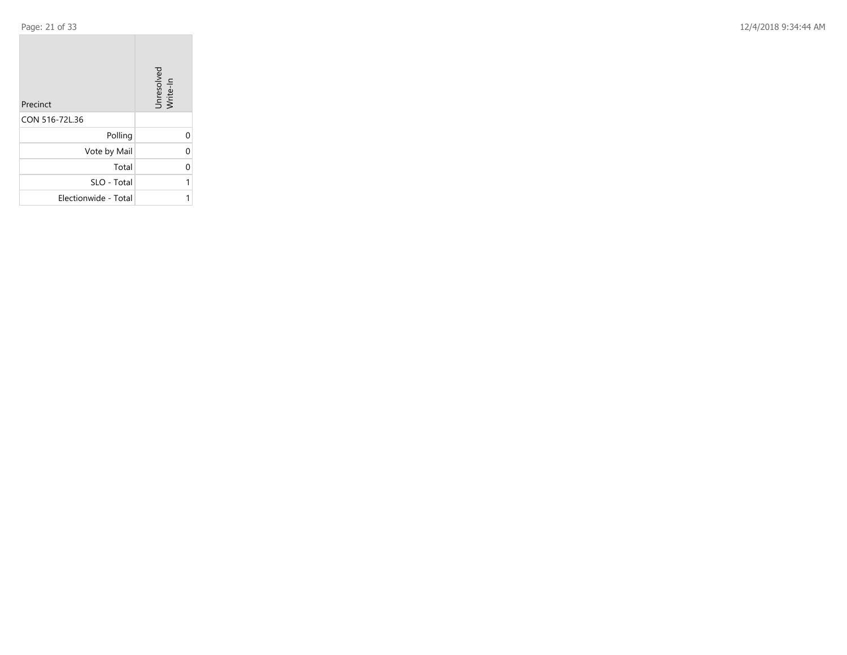Page: 21 of 33 12/4/2018 9:34:44 AM

| Precinct             | Unresolved<br>Write-In |
|----------------------|------------------------|
| CON 516-72L.36       |                        |
| Polling              | 0                      |
| Vote by Mail         | 0                      |
| Total                | 0                      |
| SLO - Total          | 1                      |
| Electionwide - Total |                        |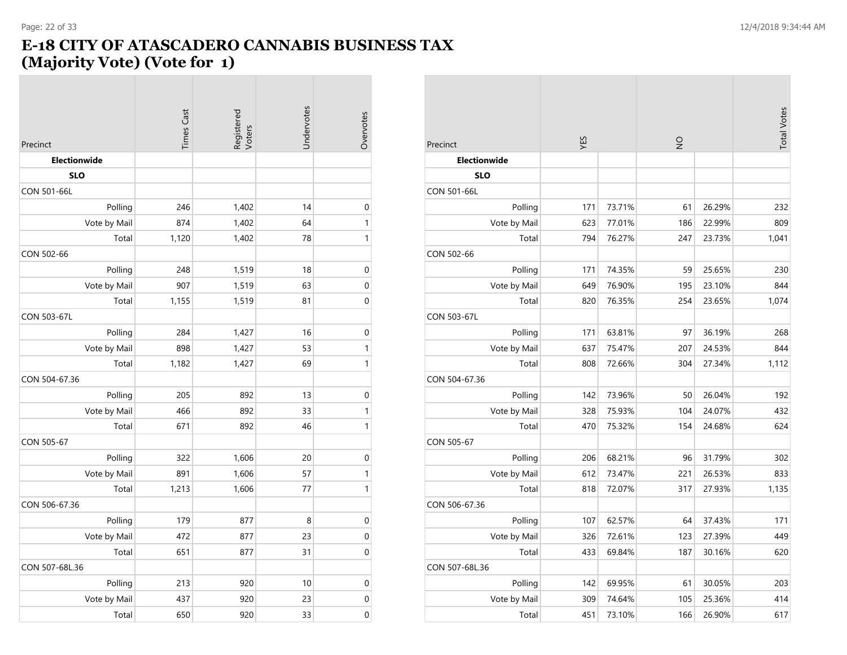# **E-18 CITY OF ATASCADERO CANNABIS BUSINESS TAX**

# **(Majority Vote) (Vote for 1)**

| Precinct       | <b>Times Cast</b> | Registered<br>Voters | Undervotes | Overvotes        |
|----------------|-------------------|----------------------|------------|------------------|
| Electionwide   |                   |                      |            |                  |
| <b>SLO</b>     |                   |                      |            |                  |
| CON 501-66L    |                   |                      |            |                  |
| Polling        | 246               | 1,402                | 14         | $\mathbf 0$      |
| Vote by Mail   | 874               | 1,402                | 64         | $\mathbf{1}$     |
| Total          | 1,120             | 1,402                | 78         | $\mathbf{1}$     |
| CON 502-66     |                   |                      |            |                  |
| Polling        | 248               | 1,519                | 18         | $\boldsymbol{0}$ |
| Vote by Mail   | 907               | 1,519                | 63         | $\boldsymbol{0}$ |
| Total          | 1,155             | 1,519                | 81         | $\mathbf 0$      |
| CON 503-67L    |                   |                      |            |                  |
| Polling        | 284               | 1,427                | 16         | $\boldsymbol{0}$ |
| Vote by Mail   | 898               | 1,427                | 53         | $\mathbf{1}$     |
| Total          | 1,182             | 1,427                | 69         | $\mathbf{1}$     |
| CON 504-67.36  |                   |                      |            |                  |
| Polling        | 205               | 892                  | 13         | $\mathbf{0}$     |
| Vote by Mail   | 466               | 892                  | 33         | $\mathbf{1}$     |
| Total          | 671               | 892                  | 46         | $\mathbf{1}$     |
| CON 505-67     |                   |                      |            |                  |
| Polling        | 322               | 1,606                | 20         | $\mathbf 0$      |
| Vote by Mail   | 891               | 1,606                | 57         | $\mathbf{1}$     |
| Total          | 1,213             | 1,606                | 77         | $\mathbf{1}$     |
| CON 506-67.36  |                   |                      |            |                  |
| Polling        | 179               | 877                  | 8          | $\pmb{0}$        |
| Vote by Mail   | 472               | 877                  | 23         | $\mathbf 0$      |
| Total          | 651               | 877                  | 31         | $\mathbf 0$      |
| CON 507-68L.36 |                   |                      |            |                  |
| Polling        | 213               | 920                  | 10         | $\boldsymbol{0}$ |
| Vote by Mail   | 437               | 920                  | 23         | $\boldsymbol{0}$ |
| Total          | 650               | 920                  | 33         | $\mathbf 0$      |

| Precinct            | YES |        | $\frac{1}{2}$ |        | <b>Total Votes</b> |
|---------------------|-----|--------|---------------|--------|--------------------|
| <b>Electionwide</b> |     |        |               |        |                    |
| <b>SLO</b>          |     |        |               |        |                    |
| <b>CON 501-66L</b>  |     |        |               |        |                    |
| Polling             | 171 | 73.71% | 61            | 26.29% | 232                |
| Vote by Mail        | 623 | 77.01% | 186           | 22.99% | 809                |
| Total               | 794 | 76.27% | 247           | 23.73% | 1,041              |
| CON 502-66          |     |        |               |        |                    |
| Polling             | 171 | 74.35% | 59            | 25.65% | 230                |
| Vote by Mail        | 649 | 76.90% | 195           | 23.10% | 844                |
| Total               | 820 | 76.35% | 254           | 23.65% | 1,074              |
| <b>CON 503-67L</b>  |     |        |               |        |                    |
| Polling             | 171 | 63.81% | 97            | 36.19% | 268                |
| Vote by Mail        | 637 | 75.47% | 207           | 24.53% | 844                |
| Total               | 808 | 72.66% | 304           | 27.34% | 1,112              |
| CON 504-67.36       |     |        |               |        |                    |
| Polling             | 142 | 73.96% | 50            | 26.04% | 192                |
| Vote by Mail        | 328 | 75.93% | 104           | 24.07% | 432                |
| Total               | 470 | 75.32% | 154           | 24.68% | 624                |
| CON 505-67          |     |        |               |        |                    |
| Polling             | 206 | 68.21% | 96            | 31.79% | 302                |
| Vote by Mail        | 612 | 73.47% | 221           | 26.53% | 833                |
| Total               | 818 | 72.07% | 317           | 27.93% | 1,135              |
| CON 506-67.36       |     |        |               |        |                    |
| Polling             | 107 | 62.57% | 64            | 37.43% | 171                |
| Vote by Mail        | 326 | 72.61% | 123           | 27.39% | 449                |
| Total               | 433 | 69.84% | 187           | 30.16% | 620                |
| CON 507-68L.36      |     |        |               |        |                    |
| Polling             | 142 | 69.95% | 61            | 30.05% | 203                |
| Vote by Mail        | 309 | 74.64% | 105           | 25.36% | 414                |
| Total               | 451 | 73.10% | 166           | 26.90% | 617                |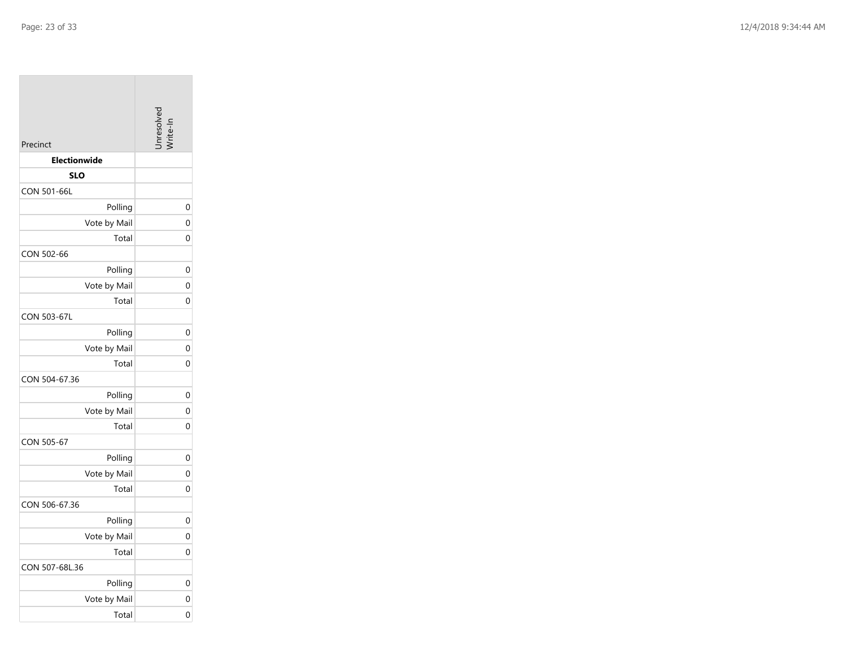| Precinct            | unresolve <sup>-</sup> |
|---------------------|------------------------|
| <b>Electionwide</b> |                        |
| <b>SLO</b>          |                        |
| CON 501-66L         |                        |
| Polling             |                        |
| Vote by Mail        |                        |
| Total               |                        |
| CON 502-66          |                        |
| Polling             |                        |
| Vote by Mail        |                        |
| Total               |                        |
| <b>CON 503-67L</b>  |                        |
| Polling             |                        |
| Vote by Mail        |                        |
| Total               |                        |
| CON 504-67.36       |                        |
| Polling             |                        |
| Vote by Mail        |                        |
| Total               |                        |
| CON 505-67          |                        |
| Polling             |                        |
| Vote by Mail        |                        |
| Total               |                        |
| CON 506-67.36       |                        |
| Polling             |                        |
| Vote by Mail        |                        |
| Total               |                        |
| CON 507-68L.36      |                        |
| Polling             |                        |
| Vote by Mail        |                        |
| Total               |                        |

0

0

0

0

0

0

0

0

0

0

0

0

0

0

0

0

0

0

0

0

0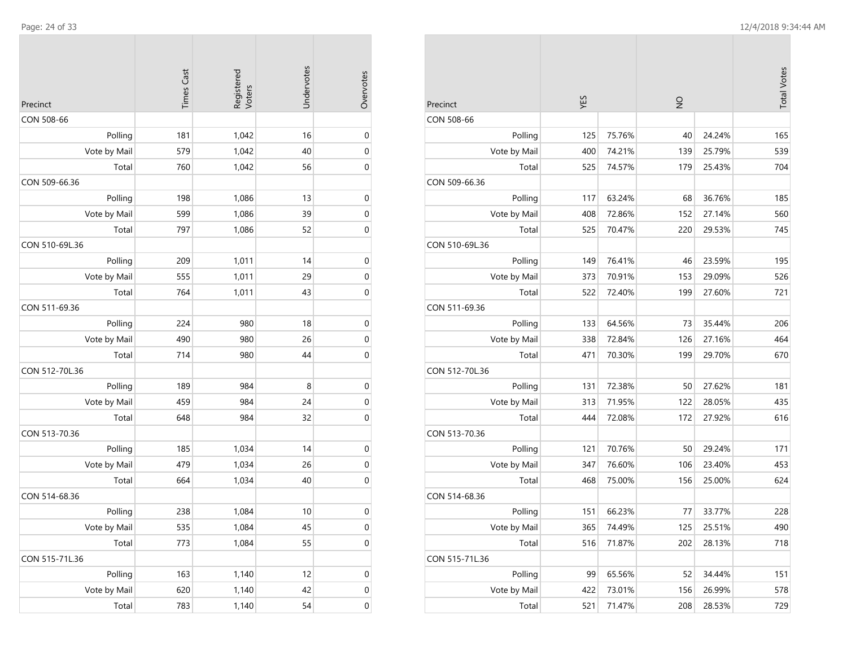| Precinct       | <b>Times Cast</b> | Registered<br>Voters | Undervotes | Overvotes        |
|----------------|-------------------|----------------------|------------|------------------|
| CON 508-66     |                   |                      |            |                  |
| Polling        | 181               | 1,042                | 16         | $\mathbf 0$      |
| Vote by Mail   | 579               | 1,042                | 40         | $\mathbf 0$      |
| Total          | 760               | 1,042                | 56         | $\mathbf 0$      |
| CON 509-66.36  |                   |                      |            |                  |
| Polling        | 198               | 1,086                | 13         | $\mathbf 0$      |
| Vote by Mail   | 599               | 1,086                | 39         | $\mathbf 0$      |
| Total          | 797               | 1,086                | 52         | $\mathbf 0$      |
| CON 510-69L.36 |                   |                      |            |                  |
| Polling        | 209               | 1,011                | 14         | $\mathbf 0$      |
| Vote by Mail   | 555               | 1,011                | 29         | $\mathbf 0$      |
| Total          | 764               | 1,011                | 43         | $\mathbf 0$      |
| CON 511-69.36  |                   |                      |            |                  |
| Polling        | 224               | 980                  | 18         | $\mathbf 0$      |
| Vote by Mail   | 490               | 980                  | 26         | $\mathbf 0$      |
| Total          | 714               | 980                  | 44         | $\mathbf 0$      |
| CON 512-70L.36 |                   |                      |            |                  |
| Polling        | 189               | 984                  | 8          | $\mathbf 0$      |
| Vote by Mail   | 459               | 984                  | 24         | $\mathbf 0$      |
| Total          | 648               | 984                  | 32         | $\mathbf 0$      |
| CON 513-70.36  |                   |                      |            |                  |
| Polling        | 185               | 1,034                | 14         | $\mathbf 0$      |
| Vote by Mail   | 479               | 1,034                | 26         | $\mathbf 0$      |
| Total          | 664               | 1,034                | 40         | $\mathbf 0$      |
| CON 514-68.36  |                   |                      |            |                  |
| Polling        | 238               | 1,084                | 10         | $\mathbf 0$      |
| Vote by Mail   | 535               | 1,084                | 45         | $\mathbf{0}$     |
| Total          | 773               | 1,084                | 55         | $\mathbf 0$      |
| CON 515-71L.36 |                   |                      |            |                  |
| Polling        | 163               | 1,140                | 12         | $\boldsymbol{0}$ |
| Vote by Mail   | 620               | 1,140                | 42         | $\boldsymbol{0}$ |
| Total          | 783               | 1,140                | 54         | $\pmb{0}$        |
|                |                   |                      |            |                  |

m.

**COL** 

|                |     |        |     |        | <b>Total Votes</b> |
|----------------|-----|--------|-----|--------|--------------------|
| Precinct       | ΥES |        | g   |        |                    |
| CON 508-66     |     |        |     |        |                    |
| Polling        | 125 | 75.76% | 40  | 24.24% | 165                |
| Vote by Mail   | 400 | 74.21% | 139 | 25.79% | 539                |
| Total          | 525 | 74.57% | 179 | 25.43% | 704                |
| CON 509-66.36  |     |        |     |        |                    |
| Polling        | 117 | 63.24% | 68  | 36.76% | 185                |
| Vote by Mail   | 408 | 72.86% | 152 | 27.14% | 560                |
| Total          | 525 | 70.47% | 220 | 29.53% | 745                |
| CON 510-69L.36 |     |        |     |        |                    |
| Polling        | 149 | 76.41% | 46  | 23.59% | 195                |
| Vote by Mail   | 373 | 70.91% | 153 | 29.09% | 526                |
| Total          | 522 | 72.40% | 199 | 27.60% | 721                |
| CON 511-69.36  |     |        |     |        |                    |
| Polling        | 133 | 64.56% | 73  | 35.44% | 206                |
| Vote by Mail   | 338 | 72.84% | 126 | 27.16% | 464                |
| Total          | 471 | 70.30% | 199 | 29.70% | 670                |
| CON 512-70L.36 |     |        |     |        |                    |
| Polling        | 131 | 72.38% | 50  | 27.62% | 181                |
| Vote by Mail   | 313 | 71.95% | 122 | 28.05% | 435                |
| Total          | 444 | 72.08% | 172 | 27.92% | 616                |
| CON 513-70.36  |     |        |     |        |                    |
| Polling        | 121 | 70.76% | 50  | 29.24% | 171                |
| Vote by Mail   | 347 | 76.60% | 106 | 23.40% | 453                |
| Total          | 468 | 75.00% | 156 | 25.00% | 624                |
| CON 514-68.36  |     |        |     |        |                    |
| Polling        | 151 | 66.23% | 77  | 33.77% | 228                |
| Vote by Mail   | 365 | 74.49% | 125 | 25.51% | 490                |
| Total          | 516 | 71.87% | 202 | 28.13% | 718                |
| CON 515-71L.36 |     |        |     |        |                    |
| Polling        | 99  | 65.56% | 52  | 34.44% | 151                |
| Vote by Mail   | 422 | 73.01% | 156 | 26.99% | 578                |
| Total          | 521 | 71.47% | 208 | 28.53% | 729                |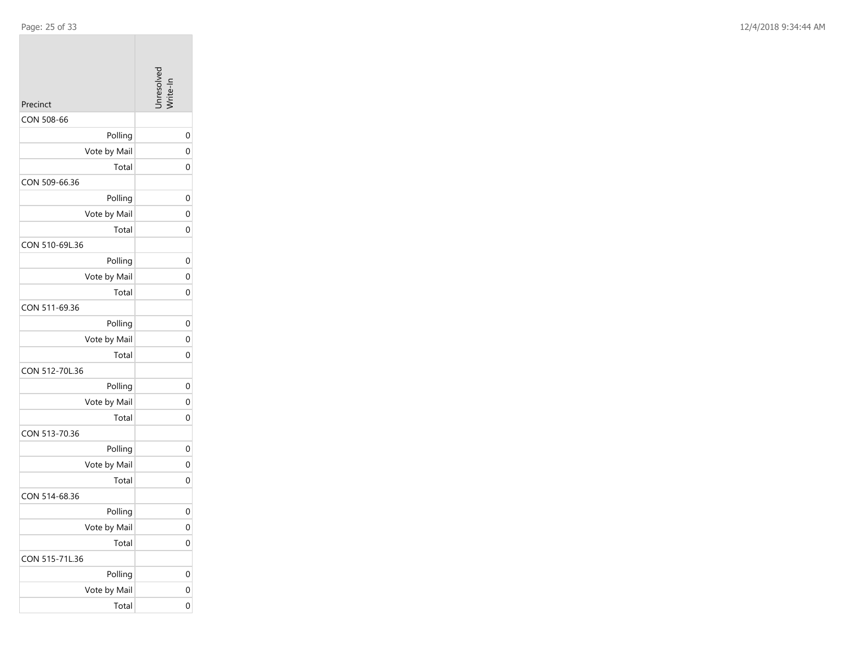|  | Page: 25 of 33 |  |  |  |
|--|----------------|--|--|--|
|--|----------------|--|--|--|

| Precinct       | Inresolved     |
|----------------|----------------|
| CON 508-66     |                |
| Polling        | 0              |
| Vote by Mail   | $\overline{0}$ |
| Total          | 0              |
| CON 509-66.36  |                |
| Polling        | 0              |
| Vote by Mail   | 0              |
| Total          | 0              |
| CON 510-69L.36 |                |
| Polling        | 0              |
| Vote by Mail   | $\mathbf 0$    |
| Total          | 0              |
| CON 511-69.36  |                |
| Polling        | 0              |
| Vote by Mail   | $\mathbf 0$    |
| Total          | 0              |
| CON 512-70L.36 |                |
| Polling        | 0              |
| Vote by Mail   | 0              |
| Total          | $\overline{0}$ |
| CON 513-70.36  |                |
| Polling        | 0              |
| Vote by Mail   | 0              |
| Total          | 0              |
| CON 514-68.36  |                |
| Polling        | 0              |
| Vote by Mail   | $\mathbf{0}$   |
| Total          | 0              |
| CON 515-71L.36 |                |
| Polling        | 0              |
| Vote by Mail   | 0              |
| Total          | 0              |
|                |                |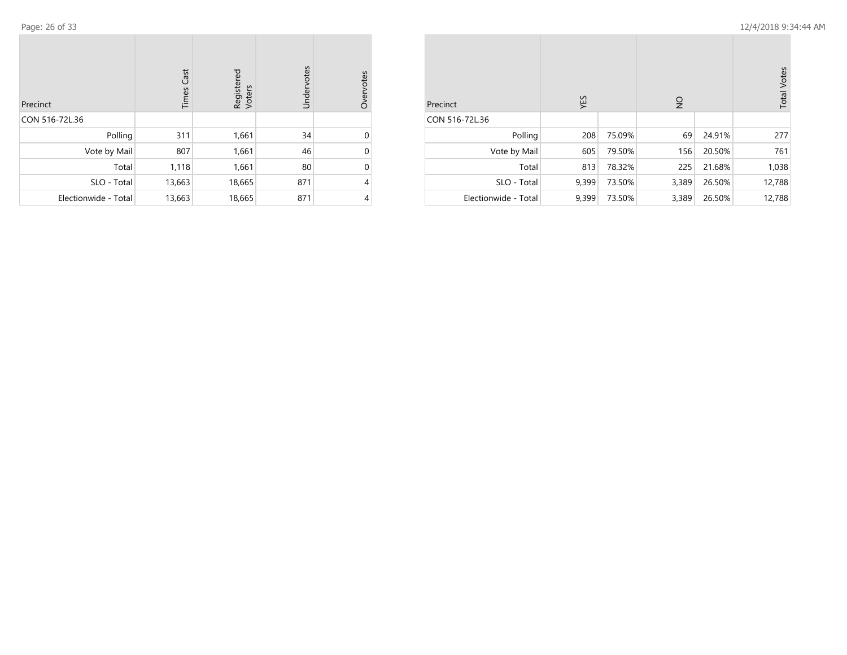| Precinct             | <b>Times Cast</b> | Registered<br>Voters | Undervotes | Overvotes |
|----------------------|-------------------|----------------------|------------|-----------|
| CON 516-72L.36       |                   |                      |            |           |
| Polling              | 311               | 1,661                | 34         | ი         |
| Vote by Mail         | 807               | 1,661                | 46         | 0         |
| Total                | 1,118             | 1,661                | 80         | 0         |
| SLO - Total          | 13,663            | 18,665               | 871        | 4         |
| Electionwide - Total | 13,663            | 18,665               | 871        | 4         |

| Precinct             | YES   |        | $\frac{1}{2}$ |        | <b>Total Votes</b> |
|----------------------|-------|--------|---------------|--------|--------------------|
| CON 516-72L.36       |       |        |               |        |                    |
| Polling              | 208   | 75.09% | 69            | 24.91% | 277                |
| Vote by Mail         | 605   | 79.50% | 156           | 20.50% | 761                |
| Total                | 813   | 78.32% | 225           | 21.68% | 1,038              |
| SLO - Total          | 9,399 | 73.50% | 3,389         | 26.50% | 12,788             |
| Electionwide - Total | 9,399 | 73.50% | 3,389         | 26.50% | 12,788             |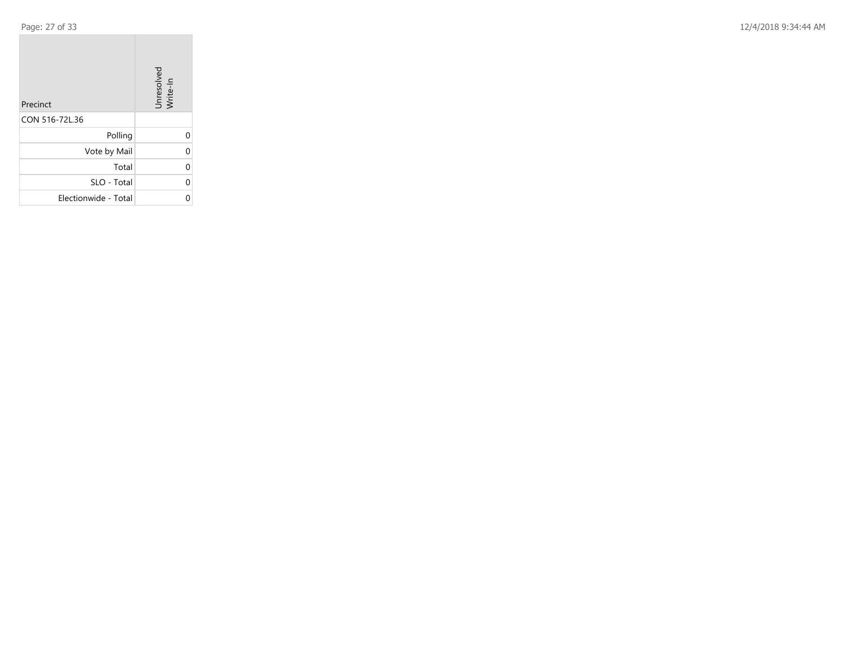$\mathcal{L}^{\mathcal{L}}$ 

Page: 27 of 33 12/4/2018 9:34:44 AM

| Precinct             | Unresolved<br>Write-In |
|----------------------|------------------------|
| CON 516-72L.36       |                        |
| Polling              |                        |
| Vote by Mail         | U                      |
| Total                |                        |
| SLO - Total          | U                      |
| Electionwide - Total |                        |

the control of the control of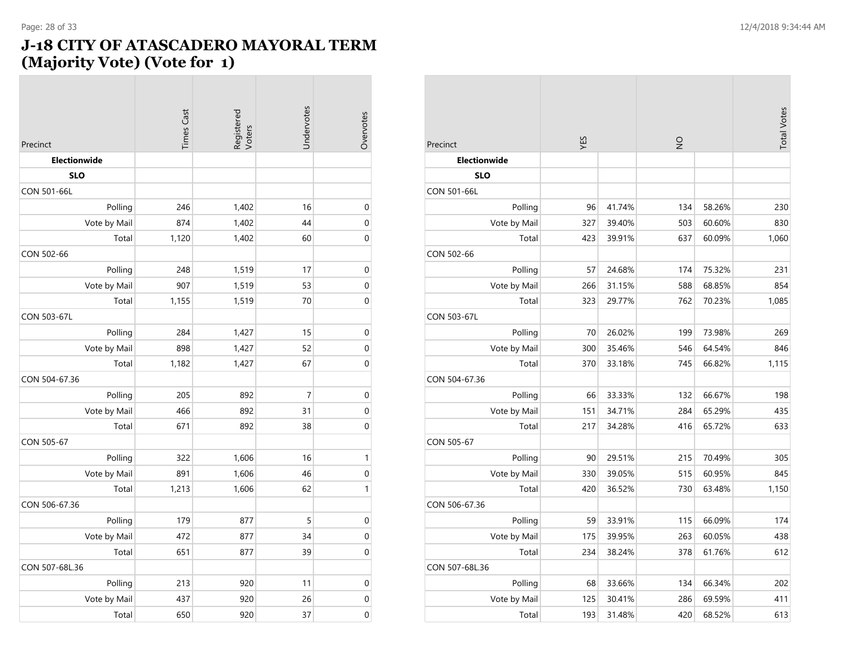#### **J-18 CITY OF ATASCADERO MAYORAL TERM (Majority Vote) (Vote for 1)**

| Precinct            | <b>Times Cast</b> | Registered<br>Voters | Undervotes     | Overvotes        |
|---------------------|-------------------|----------------------|----------------|------------------|
| <b>Electionwide</b> |                   |                      |                |                  |
| <b>SLO</b>          |                   |                      |                |                  |
| CON 501-66L         |                   |                      |                |                  |
| Polling             | 246               | 1,402                | 16             | $\mathbf 0$      |
| Vote by Mail        | 874               | 1,402                | 44             | $\boldsymbol{0}$ |
| Total               | 1,120             | 1,402                | 60             | $\boldsymbol{0}$ |
| CON 502-66          |                   |                      |                |                  |
| Polling             | 248               | 1,519                | 17             | $\boldsymbol{0}$ |
| Vote by Mail        | 907               | 1,519                | 53             | $\boldsymbol{0}$ |
| Total               | 1,155             | 1,519                | 70             | $\mathbf 0$      |
| CON 503-67L         |                   |                      |                |                  |
| Polling             | 284               | 1,427                | 15             | $\pmb{0}$        |
| Vote by Mail        | 898               | 1,427                | 52             | $\boldsymbol{0}$ |
| Total               | 1,182             | 1,427                | 67             | $\boldsymbol{0}$ |
| CON 504-67.36       |                   |                      |                |                  |
| Polling             | 205               | 892                  | $\overline{7}$ | $\boldsymbol{0}$ |
| Vote by Mail        | 466               | 892                  | 31             | $\mathbf 0$      |
| Total               | 671               | 892                  | 38             | $\boldsymbol{0}$ |
| CON 505-67          |                   |                      |                |                  |
| Polling             | 322               | 1,606                | 16             | $\mathbf{1}$     |
| Vote by Mail        | 891               | 1,606                | 46             | $\boldsymbol{0}$ |
| Total               | 1,213             | 1,606                | 62             | $\mathbf{1}$     |
| CON 506-67.36       |                   |                      |                |                  |
| Polling             | 179               | 877                  | 5              | $\boldsymbol{0}$ |
| Vote by Mail        | 472               | 877                  | 34             | $\mathbf 0$      |
| Total               | 651               | 877                  | 39             | $\mathbf 0$      |
| CON 507-68L.36      |                   |                      |                |                  |
| Polling             | 213               | 920                  | 11             | $\boldsymbol{0}$ |
| Vote by Mail        | 437               | 920                  | 26             | $\boldsymbol{0}$ |
| Total               | 650               | 920                  | 37             | 0                |

| Precinct            | ΥES |        | $\frac{1}{2}$ |        | <b>Total Votes</b> |
|---------------------|-----|--------|---------------|--------|--------------------|
| <b>Electionwide</b> |     |        |               |        |                    |
| <b>SLO</b>          |     |        |               |        |                    |
| CON 501-66L         |     |        |               |        |                    |
| Polling             | 96  | 41.74% | 134           | 58.26% | 230                |
| Vote by Mail        | 327 | 39.40% | 503           | 60.60% | 830                |
| Total               | 423 | 39.91% | 637           | 60.09% | 1,060              |
| CON 502-66          |     |        |               |        |                    |
| Polling             | 57  | 24.68% | 174           | 75.32% | 231                |
| Vote by Mail        | 266 | 31.15% | 588           | 68.85% | 854                |
| Total               | 323 | 29.77% | 762           | 70.23% | 1,085              |
| CON 503-67L         |     |        |               |        |                    |
| Polling             | 70  | 26.02% | 199           | 73.98% | 269                |
| Vote by Mail        | 300 | 35.46% | 546           | 64.54% | 846                |
| Total               | 370 | 33.18% | 745           | 66.82% | 1,115              |
| CON 504-67.36       |     |        |               |        |                    |
| Polling             | 66  | 33.33% | 132           | 66.67% | 198                |
| Vote by Mail        | 151 | 34.71% | 284           | 65.29% | 435                |
| Total               | 217 | 34.28% | 416           | 65.72% | 633                |
| CON 505-67          |     |        |               |        |                    |
| Polling             | 90  | 29.51% | 215           | 70.49% | 305                |
| Vote by Mail        | 330 | 39.05% | 515           | 60.95% | 845                |
| Total               | 420 | 36.52% | 730           | 63.48% | 1,150              |
| CON 506-67.36       |     |        |               |        |                    |
| Polling             | 59  | 33.91% | 115           | 66.09% | 174                |
| Vote by Mail        | 175 | 39.95% | 263           | 60.05% | 438                |
| Total               | 234 | 38.24% | 378           | 61.76% | 612                |
| CON 507-68L.36      |     |        |               |        |                    |
| Polling             | 68  | 33.66% | 134           | 66.34% | 202                |
| Vote by Mail        | 125 | 30.41% | 286           | 69.59% | 411                |
| Total               | 193 | 31.48% | 420           | 68.52% | 613                |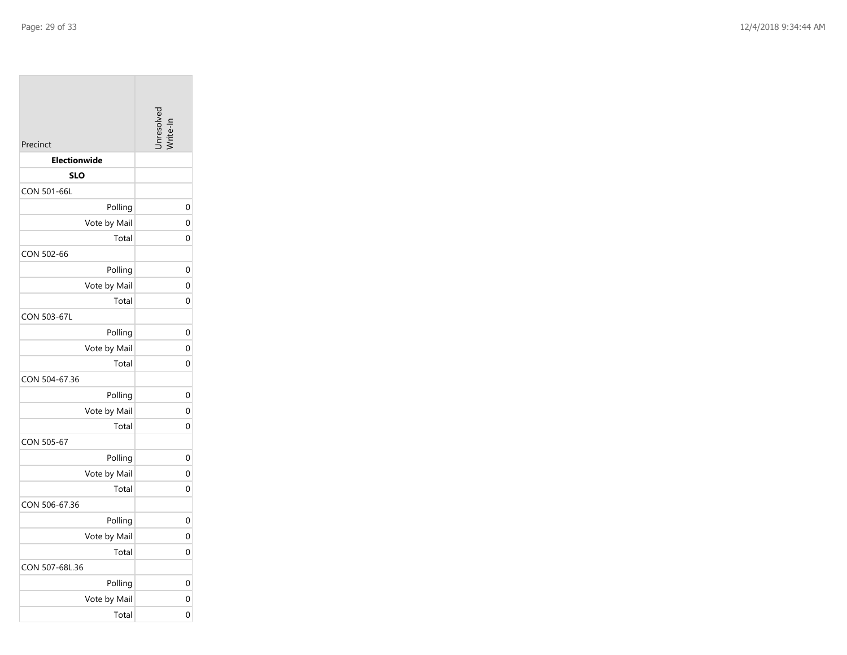| Precinct            | Juresolve |
|---------------------|-----------|
| <b>Electionwide</b> |           |
| <b>SLO</b>          |           |
| CON 501-66L         |           |
| Polling             |           |
| Vote by Mail        |           |
| Total               |           |
| CON 502-66          |           |
| Polling             |           |
| Vote by Mail        |           |
| Total               |           |
| <b>CON 503-67L</b>  |           |
| Polling             |           |
| Vote by Mail        |           |
| Total               |           |
| CON 504-67.36       |           |
| Polling             |           |
| Vote by Mail        |           |
| Total               |           |
| CON 505-67          |           |
| Polling             |           |
| Vote by Mail        |           |
| Total               |           |
| CON 506-67.36       |           |
| Polling             |           |
| Vote by Mail        |           |
| Total               |           |
| CON 507-68L.36      |           |
| Polling             |           |
| Vote by Mail        |           |
| Total               |           |

0

0

0

0

0

0

0

0

0

0

0

0

0

0

0

0

0

0

0

0

0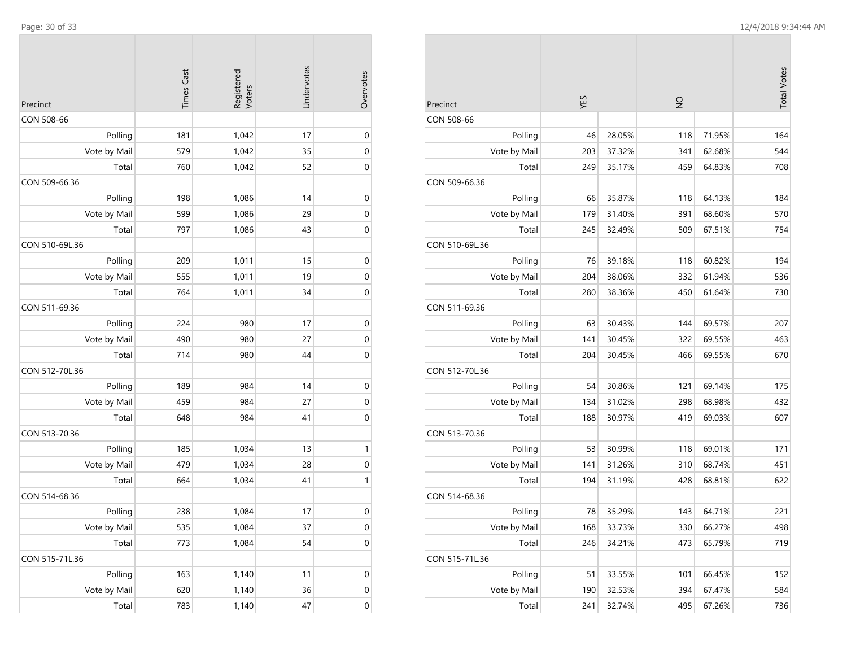$\mathcal{L}^{\text{max}}$ 

| CON 508-66<br>Polling<br>181<br>1,042<br>17<br>Vote by Mail<br>579<br>1,042<br>35<br>Total<br>760<br>1,042<br>52<br>CON 509-66.36<br>198<br>1,086<br>Polling<br>14<br>Vote by Mail<br>599<br>1,086<br>29<br>Total<br>797<br>1,086<br>43<br>CON 510-69L.36 | Overvotes        |
|-----------------------------------------------------------------------------------------------------------------------------------------------------------------------------------------------------------------------------------------------------------|------------------|
|                                                                                                                                                                                                                                                           |                  |
|                                                                                                                                                                                                                                                           | $\boldsymbol{0}$ |
|                                                                                                                                                                                                                                                           | 0                |
|                                                                                                                                                                                                                                                           | 0                |
|                                                                                                                                                                                                                                                           |                  |
|                                                                                                                                                                                                                                                           | $\mathbf 0$      |
|                                                                                                                                                                                                                                                           | $\mathbf 0$      |
|                                                                                                                                                                                                                                                           | $\boldsymbol{0}$ |
|                                                                                                                                                                                                                                                           |                  |
| Polling<br>1,011<br>209<br>15                                                                                                                                                                                                                             | $\boldsymbol{0}$ |
| Vote by Mail<br>19<br>555<br>1,011                                                                                                                                                                                                                        | $\boldsymbol{0}$ |
| Total<br>764<br>1,011<br>34                                                                                                                                                                                                                               | $\boldsymbol{0}$ |
| CON 511-69.36                                                                                                                                                                                                                                             |                  |
| 224<br>980<br>Polling<br>17                                                                                                                                                                                                                               | $\boldsymbol{0}$ |
| Vote by Mail<br>490<br>980<br>27                                                                                                                                                                                                                          | $\boldsymbol{0}$ |
| 714<br>980<br>44<br>Total                                                                                                                                                                                                                                 | $\mathbf 0$      |
| CON 512-70L.36                                                                                                                                                                                                                                            |                  |
| Polling<br>189<br>984<br>14                                                                                                                                                                                                                               | $\boldsymbol{0}$ |
| Vote by Mail<br>984<br>459<br>27                                                                                                                                                                                                                          | $\boldsymbol{0}$ |
| Total<br>648<br>984<br>41                                                                                                                                                                                                                                 | $\boldsymbol{0}$ |
| CON 513-70.36                                                                                                                                                                                                                                             |                  |
| Polling<br>185<br>1,034<br>13                                                                                                                                                                                                                             | 1                |
| Vote by Mail<br>479<br>1,034<br>28                                                                                                                                                                                                                        | $\mathbf 0$      |
| Total<br>664<br>1,034<br>41                                                                                                                                                                                                                               | 1                |
| CON 514-68.36                                                                                                                                                                                                                                             |                  |
| Polling<br>238<br>1,084<br>17                                                                                                                                                                                                                             | $\boldsymbol{0}$ |
| Vote by Mail<br>535<br>1,084<br>37                                                                                                                                                                                                                        | $\boldsymbol{0}$ |
| 1,084<br>Total<br>54<br>773                                                                                                                                                                                                                               | $\mathbf 0$      |
| CON 515-71L.36                                                                                                                                                                                                                                            |                  |
| Polling<br>163<br>1,140<br>11                                                                                                                                                                                                                             | $\boldsymbol{0}$ |
| Vote by Mail<br>620<br>1,140<br>36                                                                                                                                                                                                                        | $\boldsymbol{0}$ |
| 783<br>1,140<br>Total<br>47                                                                                                                                                                                                                               | $\boldsymbol{0}$ |

|                |        |        |               |        | <b>Total Votes</b> |
|----------------|--------|--------|---------------|--------|--------------------|
| Precinct       | YES    |        | $\frac{0}{2}$ |        |                    |
| CON 508-66     |        |        |               |        |                    |
| Polling        | 46     | 28.05% | 118           | 71.95% | 164                |
| Vote by Mail   | 203    | 37.32% | 341           | 62.68% | 544                |
| Total          | 249    | 35.17% | 459           | 64.83% | 708                |
| CON 509-66.36  |        |        |               |        |                    |
| Polling        | 66     | 35.87% | 118           | 64.13% | 184                |
| Vote by Mail   | 179    | 31.40% | 391           | 68.60% | 570                |
| Total          | 245    | 32.49% | 509           | 67.51% | 754                |
| CON 510-69L.36 |        |        |               |        |                    |
| Polling        | 76     | 39.18% | 118           | 60.82% | 194                |
| Vote by Mail   | 204    | 38.06% | 332           | 61.94% | 536                |
| Total          | 280    | 38.36% | 450           | 61.64% | 730                |
| CON 511-69.36  |        |        |               |        |                    |
| Polling        | 63     | 30.43% | 144           | 69.57% | 207                |
| Vote by Mail   | 141    | 30.45% | 322           | 69.55% | 463                |
| Total          | 204    | 30.45% | 466           | 69.55% | 670                |
| CON 512-70L.36 |        |        |               |        |                    |
| Polling        | 54     | 30.86% | 121           | 69.14% | 175                |
| Vote by Mail   | 134    | 31.02% | 298           | 68.98% | 432                |
| Total          | 188    | 30.97% | 419           | 69.03% | 607                |
| CON 513-70.36  |        |        |               |        |                    |
| Polling        | 53     | 30.99% | 118           | 69.01% | 171                |
| Vote by Mail   | 141    | 31.26% | 310           | 68.74% | 451                |
| Total          | 194    | 31.19% | 428           | 68.81% | 622                |
| CON 514-68.36  |        |        |               |        |                    |
| Polling        | $78\,$ | 35.29% | 143           | 64.71% | 221                |
| Vote by Mail   | 168    | 33.73% | 330           | 66.27% | 498                |
| Total          | 246    | 34.21% | 473           | 65.79% | 719                |
| CON 515-71L.36 |        |        |               |        |                    |
| Polling        | 51     | 33.55% | 101           | 66.45% | 152                |
| Vote by Mail   | 190    | 32.53% | 394           | 67.47% | 584                |
| Total          | 241    | 32.74% | 495           | 67.26% | 736                |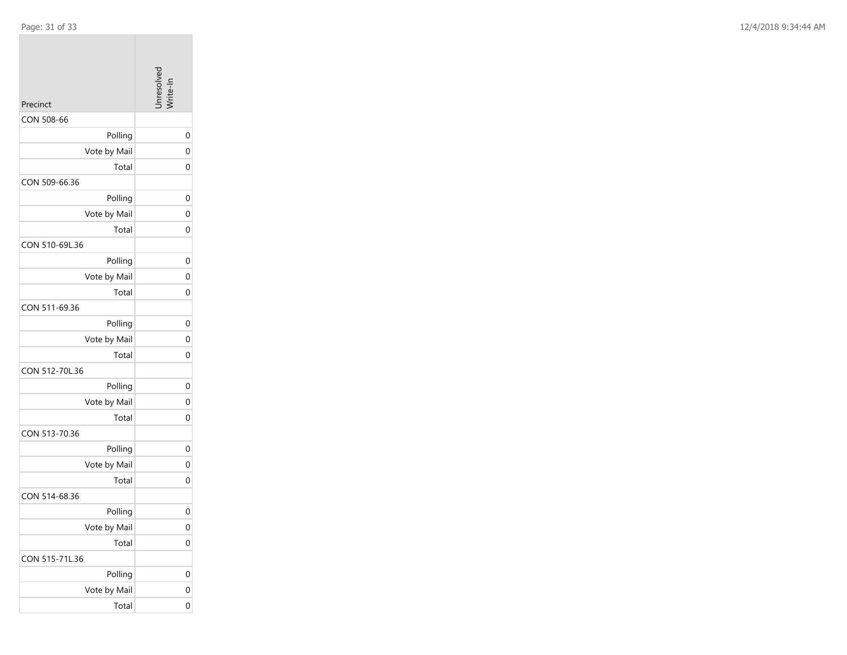|                | Jnresolver   |
|----------------|--------------|
| Precinct       |              |
| CON 508-66     |              |
| Polling        | 0            |
| Vote by Mail   | 0            |
| Total          | 0            |
| CON 509-66.36  |              |
| Polling        | 0            |
| Vote by Mail   | 0            |
| Total          | 0            |
| CON 510-69L.36 |              |
| Polling        | 0            |
| Vote by Mail   | 0            |
| Total          | 0            |
| CON 511-69.36  |              |
| Polling        | 0            |
| Vote by Mail   | 0            |
| Total          | 0            |
| CON 512-70L.36 |              |
| Polling        | 0            |
| Vote by Mail   | 0            |
| Total          | 0            |
| CON 513-70.36  |              |
| Polling        | 0            |
| Vote by Mail   | 0            |
| Total          | 0            |
| CON 514-68.36  |              |
| Polling        | 0            |
| Vote by Mail   | $\mathbf{0}$ |
| Total          | 0            |
| CON 515-71L.36 |              |
| Polling        | 0            |
| Vote by Mail   | 0            |
| Total          | 0            |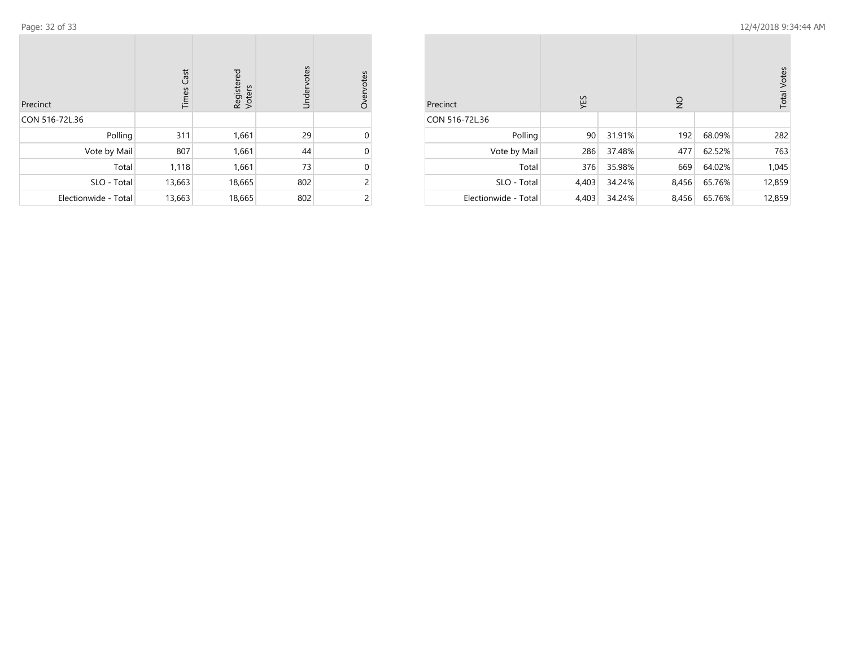| Precinct             | <b>Times Cast</b> | Registered<br>Voters | Undervotes | Overvotes |
|----------------------|-------------------|----------------------|------------|-----------|
| CON 516-72L.36       |                   |                      |            |           |
| Polling              | 311               | 1,661                | 29         | U         |
| Vote by Mail         | 807               | 1,661                | 44         | 0         |
| Total                | 1,118             | 1,661                | 73         | 0         |
| SLO - Total          | 13,663            | 18,665               | 802        | 2         |
| Electionwide - Total | 13,663            | 18,665               | 802        | 2         |

| Precinct             | YES   |        | $\overline{2}$ |        | <b>Total Votes</b> |
|----------------------|-------|--------|----------------|--------|--------------------|
| CON 516-72L.36       |       |        |                |        |                    |
| Polling              | 90    | 31.91% | 192            | 68.09% | 282                |
| Vote by Mail         | 286   | 37.48% | 477            | 62.52% | 763                |
| Total                | 376   | 35.98% | 669            | 64.02% | 1,045              |
| SLO - Total          | 4,403 | 34.24% | 8,456          | 65.76% | 12,859             |
| Electionwide - Total | 4,403 | 34.24% | 8,456          | 65.76% | 12,859             |